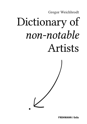Gregor Weichbrodt

# Dictionary of *non-notable* Artists

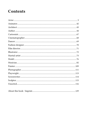# **Contents**

|--|--|--|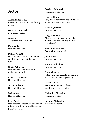# <span id="page-2-0"></span>Actor

Amanda Aardsma non-notable actress/former beauty queen.

Owen Aaronovitch non-notable actor.

Aarushi The actress is not famous.

Peter Abbay Non-notable actor.

#### Dalton Abbott

Non-notable actor with only one credit to his name (at the age of two).

Chris Ackerman Non-notable actor with only 1 major starring role.

Robert Ackerman Non-notable actor.

Arthur Adams Non-notable actor.

Jack Adams Non-notable actor.

Faye Adell Non-notable actress who had minor roles in mostly non-notable German films/TV shows.

Prachee Adhikari Non-notable actress.

Nivas Adithan Very minor actor who has only been active since early-mid 2012.

Swati Aggarwal Non-notable actress.

Greg Akcelrod Akcelrod is not an actor, he only played as an extra in two movies not released.

#### Mohamed Akhzam

Actor with just one role.

Joshua Alba Non-notable actor.

Antonio Albadran Non-notable actor.

Dion Albanese Actor with one credit to his name, a bit part in a movie 40 years ago.

Aaron Albert Actor with no major roles or significant recurring roles.

Alejandro Alcondez Non-notable actor.

Enrique Alejandro Non-notable actor.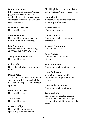#### Brandi Alexander

Bit-former Miss Universe Canada pageant contestant who came outside the top 10, part actress and eliminated contestant on Canada's Next Top Model.

#### Richard Alexander

Non-notable actor.

#### Steff Alexander

Non-notable actress, appears to have been in only one thing.

#### Elle Alexandra

Non-notable Pron actor lacking GHITS and GNEWS of substance.

Teddy alexandro-evans Non-notable actor.

#### Rohan Ali Non notable Bollywood actor and model.

#### Daniel Allar

Allar is non-notable actor who had very minor role in the series Prison Break and he appeared in only four episodes.

Michael Alldredge Non-notable actor.

Tyrees Allen Non-notable actor.

#### Chris M. Allport Non-notable minor actor, apparently most notable for

"dubb[ing] the crowing sounds for Robin Williams" in a scene in Hook.

#### Sana Althaf

Actress who falls under way too soon-only 2 roles so far.

## Rachel Ambler

Non-notable actress.

#### Chace Ambrose

Non-notable actor, director and newscaster.

#### Utkarsh Ambudkar

Not a notable actor.

#### Aron Anazia

Non notable actor/producer/ director.

Jerad Anderson Non-notable actor and musician.

#### Amy Anderssen

Doesn't meet the notability requirements for pornographic actors.

#### Christopher Andrews

Non-notable actor and writer.

#### Zora Andrich

actress of questionable notability, seems to have had only a single passing bit of notability on a reality show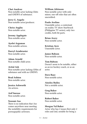#### Chet Anekwe Non-notable actor lacking Ghits and GNEWS of substance.

Jerry G. Angelo Non-notable actor/producer.

Chriss Anglin Non-notable actor.

Jeremy Applegate Non-notable actor.

Ayelet Argaman Non-notable actress.

Darryl Armbruster Non-notable actor.

Adam Arnold Non-notable child actor.

Avital Ash Non-notable actor lacking GHits of substance and with no GNEWS.

Brad Ashten Non-notable actor.

Jessica Ashworth An actress.

Asif Imrose Non-notable actor.

#### Nozomi Aso There is no indication that Aso comes anywhere near meeting the notability requirements for pornogrpahic actresses.

William Atkinson Non-notable actor with only minor, one-off roles that are often uncredited.

Paulo Avelino

Unnotable actor, a contestant on reality TV show StarStruck (Philippine TV series), only two credits, both bit parts.

Brian Avery Non-notable actor.

Kristian Ayre Unnotable actor.

James Babson Non-notable actor.

Tom Babson Doesn't seem to be notable, either as an ice hockey coach, or as an actor.

Dave Baez Non-notable actor.

Ainsley Bailey Not a notable actor.

Greg Baker Non-notable actor.

Robert Baker Non-notable actor.

#### Morgan Val Baker Actor who has 2 issues-first only 2 roles and 2nd, notable for being a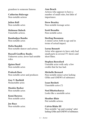grandson to someone famous.

Catherine Balavage Non-notable actress

Julien Ball Non-notable actor.

Mahnoor Baloch Unnotable actress.

Bambadjan Bamba Non-notable actor.

Helia Bandeh Non-notable dancer and actress.

Russell Geoffrey Banks Unknown actor, never had notable roles.

Quinn Bard Non-notable actor.

Prakash Bare Non-notable actor and producer.

Guy V. Barfield Nonnotable actor.

Mookie Barker Non-notable actor.

Kemi Baruwa Non notable actor.

Joe Bays Non-notable actor. Ann Beach Actress who appears to have a number of small roles, but little of importance.

Drew Beasley Non-notable teenage actor.

Scott Beaudin Non-notable actor.

Sterling Beaumon A minor actor, both in age and in terms of actual impact.

Lorna Bennett Actor who appears to have only had small parts in several TV shows and short films.

Stephen Beresford Unotable actor with only a few credits that he has had.

Michelle Bernard Non-notable minor actor lacking GHits and GNEWS of substance.

Luan Bexheti Unnotable actor (?)

Neel Bhattacharya Looks like a unotable actor.

Heather Blair Not notable actress.

Calvin Blake III Non-notable "up-and-coming" actor lacking GHits and GNEWS of substance.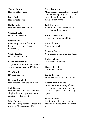Shelley Blond Non-notable actress.

Elert Bode Non-notable actor.

Holly Body Non-notable porn actress.

Carson Bolde Not a notable actor.

Nathan bond Potentially non-notable actor (Google search only turns up namesakes).

Carly Bondar Non-notable bit actress.

Elena Bondarchuk Appears to be a non-notable actor who appeared in some TV shows.

Tera Bond NN porn actress.

Richard Bonehill Non-notable actor and stuntman.

## Jack Boscoe

Non-notable child actor with only a single minor role (probably nonspeaking) to his credit.

#### John Bosher

Up and coming actor/producer, but not sure if he's (yet) notable.

Carla Boudreau Minor journeyman actress, earning a living playing bit/guest parts in those filmed-in-Vancouver lowbudget productions.

Jack Bowman Actor who has had many small roles, but nothing major.

Rupert Bradshaw Actor of marginal notability.

Randall Brady Non-notable actor.

Brianna Bragg Non-notable pornographic actress.

Chloe Bridges Unremarkable actress.

Hailey Bright Not-notable actress.

Raven Brown Minor actress, if an actress at all.

#### Robert Alan Browne

Minor actor with no significant roles in films, and only one minor role for 28 episodes of a TV soap opera.

#### Jennie Bruno

Jennie Bruno does not seem to pass the notability requirements for an actress.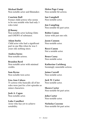Michael Budd Non-notable actor and filmmaker.

Courtnie Bull Former child actress who seems to be non notable who had only 3 roles total.

#### JJ Bunny

Non-notable actor lacking Ghits and GNEWS of substance.

#### Adam burke

Child actor who had a significant part in one film when he was 5 years old; nothing since.

Andrea burns Non-notable actress.

Brandon Byrd Non-notable actor with minimal credits.

Sam Byrne Non-notable teen actor.

Lisa Ann Cabasa Tv actress who basically all of her roles were just for a few episodes as minor characters.

Josh A. Cagan Non-notable actor.

Luke Camilleri Actor who has yet to achieve notability.

Helen Page Camp Non-notable bit actress.

Ian Campbell Non-notable actor.

Jon Campling Non notable bit part actor.

Robin Camus Actor with just one role.

Jason Cannon Non-notable actor.

Recci Canon Not a notable actor.

Bruce Carey Non-notable actor.

Katherine Carlsberg Seemingly unnotable actress.

Jaime Carroll Non-notable actor.

Jack W. Carter Non-notable actor.

Shawn Carter Non-notable bit part actor.

John Carter Non-notable actor.

Nicholas Cascone Non-notable bit-part actor.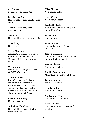Mark Caso non notable bit part actor

Erin Bethea Catt Non-notable actress with two film credits.

Ashley Cavender-Jones unotable actor.

Aziz Cem Non-notable actor or martial artist.

Yin Chang NN actress.

#### Sarah Charlotte

Apparently a non-notable actor, their most notable role being' Teenage Girl# 1' in a non-notable short.

#### Wylie Chiu

Minor actor lacking GHITs and GNEWS of substance.

#### Viorel Chivriga

Both Chivriga and Ciobanu are pretty minor actors on the Moldovan political scene: supporting players in the PAD, which is essentially a one-man show run by Mihai Godea.

Kavita Choudhary Unotable actress.

Abhishek Chouksey Non-notable 21 year old actor, director and hacker.

Elisa Christy Non-notable actress.

Andy Clark Not a notable actor.

Westcott Clarke Non-notable actor who only had minor film roles

Jenn Colella Not a notable actress.

Jerez coleman Unremarkable actor / model / musician.

Jordyn Coleman Non-notable actress with only a few minor roles to her credit.

Jessie Coleman Non-notable actress.

Imelda Concepcion Minor Filippino actress of the 50's

Jarlath Conroy non-notable actor.

Araida Corbol Non-notable actress.

Vladimir Correa Unremarkable porn actor.

Peter Cowper Unotable actor who is known for small roles.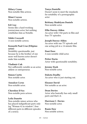Hilary Crane Non-notable film actress.

Mimi Craven Non-notable actress.

#### Ed Cray

Seems like a hard-working journeyman actor, but nothing establishes him as Notable.

#### Nikki Creswell

A non-notable actress.

#### Kenneth Paul Cruz (Filipino actor)

Notability questionable, just because he is the brother of one more well known actor doesn't make him notable.

#### Vladimir Cuk

Not sufficiently notable as an actor, athlete or entrepreneur.

Simon Curtis Non notable actor.

Annalyn Cyrus Non-notable actor.

Cherokee D'Ass Non-notable porn actress.

#### Leila Danette

Non-notable minor actress who has played indignificant parts only (eg "Woman #2 in window"; four different parts in different episodes of a series).

#### Tanya Danielle

Doesn't seem to meet the standards for notability of a pornographic actor

#### Brittany Madelynn Daniels

Non-notable actor.

#### Ellie Darcey-Alden

An actor with 3 bit-parts in film and four TV episodes.

#### Joseph Darcey-Alden

An actor with one TV episode and one acting job in a 14-minute film.

#### Dani Dare A non-notable child actor.

Petter Darin

Actor with questionable notability.

Jeremy Dash Non-notable actor.

Dakota Daulby An actor who is just starting out.

Eleanor David Not notable as an actor.

Dean Davies Actor who basically has only small parts and that's it.

Harrison C. Davies Non-notable actor.

Ranie Daw Non notable actress.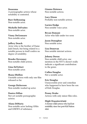Deauxma A pornographic actress whose notability is contested.

Burr DeBenning Non-notable actor.

Michelle DeFraites Non-notable actor.

Vinny DeGennaro Non-notable actor.

#### Jeffery Dench

Actor who is the brother of Dame Judi Dench, but being related to a notable person in itself confers no degree of notability.

Brooke Devenney Non-notable child actress.

Gina DeVettori Non-notable actor.

Ihana Dhillon Unotable actress with only one film released so far.

George Dickerson Non-notable washed up actor.

Danica Dillan Not yet notable pornographic actress.

Alana DiMaria Non-notable actor lacking GHits and GNEWS of substance.

Gianna Distenca Non-notable actress.

Lucy Dixon Probably non-notable actress.

Lucien Dodge Non notable voice actor.

Bryan Domani Actor who falls under too soon

Jason Donoghue Non notable actor.

Lisa Donovan Non notable internet actress.

Johnny Doran Non-notable child actor, one mention in the NYT's doesn't really indicate a significant contribution to the genre.

Cullen Douglas Not a notable actor.

Eric Douglas Unsuccessful actor and comedian who happened to have been the son of Kirk Douglas.

Penny Drake Actress with only minor film roles.

Miglė Drąsutavičiutė A former child actress who had lost notability since her post-Kid Nation stint.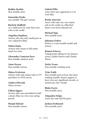Robbie Drebitt Non notable actor.

Samantha Droke non notable "bit part" actress

Burkely Duffield As a child actor he only had a few roles to his credit.

Angelina Duplisea Actress who has only small parts in very unknown films.

Nikita Dutta Actress who seems to fall under much too soon.

Alexander Cameron Dyer Non-notable amateur actor.

Anne Dyson Non-notable actress.

Odeen Eccleston Actress with only minor roles in TV and direct to DVD movie.

Andrea Edwards Minor actress.

Lillian Eggers Actress who was uncredited in half a dozen films in a two year acting period.

Margit Eklund Non-notable actress. Gabriel Ellis Actor who once appeared in a 50 Cent film.

Brody emerson Actor with only one very minor role to his credit, in a film that hasn't even been released yet.

Michael Epp Non notable actor.

Julianna Erdesz Erdesz is a non-notable model and actress.

Ramon Estevez Unimportant sibling to two famous actors, Emilio Estevez and Charlie Sheen.

Nicky Evans Non-notable working actor.

Tyler Faith Non notable porn actress, has done nothing notable, doesn't appear to have won any significant awards, or started any new 'trends'

Blake Farris Non-notable actor.

Alejandro Felipe Actor has only had bit parts.

Joshua Ferdinand Non-notable actor.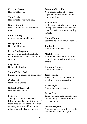Kristyan Ferrer Non-notable actor

Thor Fields Non-notable actor/musician.

Nanci Filipelli Model / Actress of no particular

note.

Louis Findlay minor actor, no notable roles

George Finn Non-notable actor.

#### Perry Finnbogason

An actor who has had just had a few roles and was on a show for 5 episodes.

Ray Fisher Not a notable actor

Simon Fisher-Becker Entirely non-notable so-called actor.

Chrissie fit Nonnotable actress.

Gabrielle Fitzpatrick Non-notable actress.

#### Fob Five

A Google search for "Fob Five" brings up mostly submit-it-yourself video sites, and no mention of ever working with Amitabh Bachchan or other famous Bollywood actors....

Fernando De la Flor Non-notable actor whose only appeared in one episode of one television show.

#### Alina Foley

Child actress with two roles, now unemployed because she was fired from Days after a month, nothing notable.

Nanna Fondo Seems to be a non-notable actress.

Jim Ford Non-notable, bit part actor.

#### Mark Foresta

A targetted Google for either the character or the actor produce no results.

Brandon Freiberg Non-notable actor.

Jessa French Television actress who has had small roles in various series.

Asako Fujii Non-notable voice actor.

#### Becky Gable

There's no indication that she meets the notability criteria for martial artists or actors.

#### Maanvi Gagroo

Non notable actress with no really notable roles (okay it says one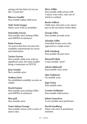staring role but that's it) rest are like "Crazed fan"

Bhavya Gandhi Non notable Indian child actor

Toby Scott Ganger Minor actor with no notability.

Samantha Garcia Non-notable actor lacking GHits and GNEWS of substance.

#### Katie Garner

An actress that does not meet the notability requirements for actors and entertainers.

#### Taylor Garron

Non-notable child actor with no significant roles, the most notable being a contestant on FETCH!

Joey Gaydos Not a notable actor.

Nathan Geist

No established notability as actor or soldier

David Geister Non-notable actor lacking GHits and GNEWS of substance.

Max gell Non-notable actor.

Tami-Adrian George Non-notable actress with a series of minor roles.

Mary Gibbs Non-notable child actress with 3 minor voice roles, only one of which is credited.

Bertie Gilbert Child actor who had a very minor part in the last Harry Potter films.

George Giles Non notable juvenile actor.

Alasdair Gillis Unnotable former actor who appeared in a single series.

Seth Ginsberg Non-notable bit part actor.

Maxwell Glick A non-notable "actor".

Alésia Glidewell Non-notable voice actor.

Ojas Godatwar Un-notable actor.

Sage Goetz Non-notable actor.

Cosette Goldstein Non notable child actress

Julian Goncalves A non notable actor/performer.

David Goodberg Minor role actor & production assistant.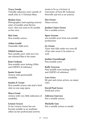#### Tracy Goode

Virtually unknown actor outside of small roles in 3 Christian films.

#### Shalon Goss

Photographer (and aspiring actress) sister of notable artist Bryten Goss—does not seem to be notable on her own.

#### Mai Goto

Non-notable actress.

Aidan Gould Unnotable child actor.

#### Nikhil Gowda

Non-notable actor with not even one released film to his name.

#### Kate Graham

Non-notable actor lacking GHits and GNEWS of substance.

Jamie Grant Actress with questionable notability.

Sandra P. Grant Non-notable actress who had a brief stint on one soap opera.

Maya Grant Actress with very little indication of notability.

#### Léonor Graser So far, Léonor Graser has not become notable as an academic either (as her professional activity

seems to be as a lecturer at University of Paris III: Sorbonne Nouvelle and not as an actress).

#### Dee Green

Minor actress.

#### Jordan-Claire Green

Not a notable actress.

#### Spice Greene

non notable actor from non notable productions

#### J.J. Green

Actor who falls under too soon-all of his roles seem to be minor as well.

#### Jordan Greenhough

Non-notable actor.

#### Kelly Greyson

Non-notable actor lacking GHITS and GNEWS of substance.

#### Lara Grice

Bit part and extras actress, no major roles.

David Paul Grove Small part actor.

Zabryna Guevara Not a notable actress.

Michelle Guo Not a notable actress or model.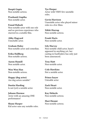Deepti Gupta Non notable actress.

Prashantt Guptha Non notable actor.

#### Fouad Habash

Non-notable actor with one role and no previous experience who starrred in a notable film.

Abby Hagyard Unnotable actor.

Graham Haley Non-notable actor and comedian.

Erika Hallberg Non-notable actress.

Aaron Hamill Non notable actor.

Wen Wen Han Non-notable actress.

Happy (dog actor) Are dog actors notable?

Dustin Harding Is not (yet) a notable actor.

Johann Harmse Actor with an amazing ONE performance!

Shane Harper Kid actor sans any notable roles. Tye Harper Actor with VERY few unotable roles.

Gavin Harrison Unnotable actor who played minor roles in a few films.

Nikki Harrup Non-notable actress.

Frank Harts Non-notable actor.

Lily Harvey Non-notable child actor, hasn't appeared in anything yet, her casting in EastEnders has only just been announced.

Troy Hatt Non-notable actor.

Cole Hawkins Not a notable actor.

Prince hayer Untoable actor

Zack Heart Non-notable actor.

Kay Heberle Non-notable actress.

Mari Henmi Non-notable actress.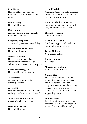#### Eric Hennig

Non-notable actor with only uncredited or minor background parts.

#### Hank Henry

Non-notable actor.

#### Kate Henry

Actress who plays minor, mostly unnamed, characters.

Gregory J. Hepburn Actor with questionable notability.

Maximiliano Hernández Not a notable actor.

#### Socorro Herrera NN actress who played an extremely minor role in High School Musical Malevious Userpage

Gavin Hetherington Non-notable under-18 actor.

Ahmo Hight Appears to be a non-notable actress/porn star

#### Arissa Hill Non-notable reality TV contestant and aspiring "actress" and "singer"

William Daemon Hillin nn actor/model/something.

Desi Arnez Hines II Non-notable actor.

#### Ayumi Hodaka

A minor actress who only appeared in two TV series and one film based on one of those shows.

#### Kara and Shelby Hoffman

non-notable twin child actors with only 2 verifiable roles, as babies.

#### Thomas Hoffman

Non-notable actor.

#### Betty Lou Holland

She doesn't appear to have been that notable as an actress.

#### Jacqui Holland

Non-notable actress.

Roger Holloway NN Actor.

Mazerinne Holskamp Actress with only 1 role.

#### Natalie Hoover

Voice actress who has only had supporting roles in anime (even the ANN bolded roles such as Gargantia, Giovanni's Island, Fairy Fencer F, and Danganronpa 2 showed that even those roles were supporting/minor).

#### Thomas Howes

To date, a minor actor whose most notable part is a Second Footman. Actor of questionable notability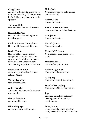#### Clegg Hoyt

An actor with mostly minor roles; only one recurring TV role, as Mac in Dr. Kildare, and that only in six episodes.

#### Terrance Huff

Non-notable actor and filmmaker.

#### Hannah Hughes

Non-notable actor lacking nontrivial support.

#### Michael Conner Humphreys

Non-notable former child actor.

#### David Hunter

Non-notable actor: no major company or west end leads, one appearance in a television talent show, does not appear to have attracted any significant attention.

#### Patrick Hurd-Wood

Actor who has has had 3 minor roles in 3 films.

Wesley Ivan Hurt Non-notable actor.

Aldo Huwyler Actor who has just 2 roles that are not notable.

Henry Hübchen An unnotable actor.

Hitomi Hyuga An actress with just one role. Holly Jack Non notable actress only having one role in TV.

Robert Jacks Non-notable actor.

#### Sarah Laurene Jackson

A non-notable model and actress.

Arol jahns

Non-notable actor.

Derrick James Non-notable actor.

#### Kenneth W. James

Non-notable video-game voice actor.

Madison James non-notable porn actress.

Radmar Agana Jao Non-notable famous actor.

Bailey Jay Non-notable adult film actress.

Jannike Kruse Jåtog Non-notable Norwegian actress.

#### Jega

Insignificant actress actor not meeting general notability requirements

Luke Jeremy Actor who falls under way too soon, he could be notable someday.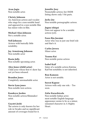Avan Jogia Non-notable actor.

#### Christy Johnson

An American actress and vocalist who sings for a non-notable band and appeared in a non-notable film has minor roles in film.

Michael Alan Johnson Not a notable actor.

Nell Johnson Actress with basically little notability.

Jay Armstrong Johnson Non-notable actor

Rosin Jolly Non-notable upcoming actor.

Alex Jones (child actor) Child actor whose first tv show has not yet been released.

Brandon Jones Completely unremarkable actor.

Stevie lynn jones Non-notable teen actress.

Kandeyce Jorden Non-notable actress/filmmaker/ artist.

## Gayatri Joshi

The actress is only-known for her role in Swades and no signiificant amount of coverages found for it.

Jennifer Josy Nonnotable actress; her IMDB listing shows only 5 bit parts.

Jacky Joy Non-notable pornographic actress.

#### Jugnu ishiqui

Does not appear to be a notable actress (yet).

#### Farez Bin Juraimi

Actor who was in just one brief role and that's it.

#### Carlos Juvera Minor actor.

Teanna Kai Non-notable porno actress

Isabel Kaif Sister of a notable actress Katrina Kaif but notability is not inherited.

Ron Kamoen Actor is not notable.

Seerat Kapoor Actress with only one role. - Too soon.

### Zafar Karachiwala

Non-notable Indian actor; most notable English-language appearance seems to be as a minor, unnamed character in A Mighty Heart.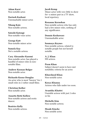Adam Karst Non-notable actor.

Dariush Kashani Unremarkable minor actor.

Nhung Kate Non-notable actress.

Satoshi Katougi Non-notable voice actor.

George Katt Non-notable minor actor

Sumela Kay Not a notable actress.

Cary Alexander Kazemi Non-notable actor; has played a handful of minor roles in nonnotable films.

Andrew Keenan-Bolger Non-notable actor.

Richardo Keens-Douglas An actor who is most "known" for 2 small roles in 2 rather small films.

Christian Keiber Non-notable actor.

Annette Betté Kellow Non-notable actress and erotic dancer.

Beatrice Kelly Non-notable actress. Jacob Kemp Minor actor with very little to show for--a minor part in a TV show, local repertory.

#### Roxanne Kernohan

Non-notable actress who has only had a few minor roles, nothing of any significance.

Donnie Keshawarz Unremarkable actor.

Soumaya Keynes Non-notable actress, related to notable people but not herself notable.

A. J. Khan NN actress.

Prem Khan Subject doesn't seem to have met notability criteria for an actor.

Khursheed Khan Non-notable actor.

Keeya Khanna Actress who falls under too soon.

Avantika Khattri Unotable actress with just 2 roles so far.

Michelle Kim Non-notable actress.

Meade Kincke Non notable actor.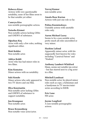#### Rebecca Kiser

Actress with very questionable notability, none of her films seem to be that notable yet either

Camryn Kiss non-notable pornographic actress.

#### Natasha Kizmet

Non-notable actress lacking GHits and GNEWS of substance.

#### Oğuzhan Koç

Actor with only a few roles, nothing significant either.

Matt Kohler Non-notable actor.

#### Aditya Kohli

Actor who has had minor roles in two films.

#### Kim Komatsu

Minor actress with no notability.

#### Saki Kondo

Minor actress who only appeared in two TV shows and one film.

#### Illya Konstantin

Non-notable actor lacking GHits and GNEWS of substance to support notability.

#### Jon Krampner

Non-notable actor.

#### Bruce Kronenberg

Non-notable voice actor/actor.

Yuvraj Kumar non-notable actor.

#### Amala Rose Kurian

Actress with just one role so far.

#### Polina Kuzminskaya

Unotable actress with unotable roles only.

#### Aaron Michael Lacey

Seems to be a non-notable actor, pretty much all roles uncredited or very minor.

#### Hashim Lafond

Apparently minor actor, with his supposedly best-known-for roles including "Carnival Patron" and "Student".

#### Anthony Lambert-Whitford

Hmm, seems not notable (an extra) - but has starred next to a big actor in a film.

#### Mitchell Landzaat

Non-notable actor, he played minor roles such as cops, a helmsman and a handyman in TV movies/miniseries according to IMDB.

Eric Lane NN actor.

#### Jayme Langford A non-notable pornographic actress.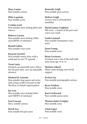Mary Lanier Non-notable actress.

Mike Lapointe Non notable actor.

Cristina Lark Non-notable actor lacking ghits and Gnews.

Rebecca Larsen Non-notable actor lacking GHits and GNEWs of substance.

Bartell LaRue Non-notable voice actor.

Kenyon Lasseter Non-notable minor actor with a small part in one TV episode.

#### Trent Latta

Formerly an unnotable actor with a few bit part roles, now an unnotable attorney.

Michael St. Laurent Non-notable drag queen and actor; only acting credit is bit-part in the The Rose as female impersonator.

Syr Law Non-notable actor lacking Ghits and GNEWS of substance.

Lexi Lawson Not a notable actress.

Derek Lea Non-notable bit-part actor. Kennedy Leigh Non-notable porn actress.

Melissa Leigh Actress who is of borderline notability.

Dustin James Leighton NN actor - a bunch of bit parts and voice-over work.

Linda Leonard Non-notable Funimation voice actor.

Jason Leung Non-notable actor

Brian Levinson Levinson was a run of the mill child actor from age 10 to 15.

Melanie Liburd Minor actor lacking non-trivial support.

Evelyn Lin Non-notable pornographic actress.

Ryan Lindsay Non-notable actor.

Kurt Lockwood Non-notable porno actor.

Thomas James Longley Non-notable actor.

Chad Lopez Non-notable actor.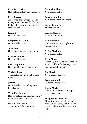Francisco Lorite Non notable actor/writer/director.

Peter Losasso Actor who has only appeared in two episodes (per IMDb) of a show that's not exactly burning up the airwaves yet.

Kia Luby Non-notable actor.

Benjamin W.S. Lum Non-notable actor.

Willie Macc Non notable comedian and actor.

Richard Madden Non-notable actor.

Luka Magnotta Non-notable model/porn actor.

V. Mahadevan Tamil actor who does not appear notable.

Jarrett Maier Non-notable actor lacking nontrivial support.

Vishal Malhotra Non-notable Indian actor appearing in a minor television roles.

Pawan Rama Mali Actor of doubtful notability. Catherine Manett Non-notable actress.

Tawnya Manion Non-notable fanfilm actress.

Edward Mannix Minor voice actor.

Samuel Marcus Actor is not a minor.

Tom Mariano Not notability, "Actor" plays only uncredited roles.

Bailey Markum Non-notable actor.

Irene Marot Relatively minor British television actor; unable to find enough press to demonstrate notability.

Tia Marrie Not a notable actress.

Isaac Marshall Unnotable voice actor.

Deena Martin Non-notable actress - no major roles, awards, etc.

Meaghan Jette Martin Minor (in more ways than one) actress, whose only significant role was a made-for-cable movie, 5thbilled.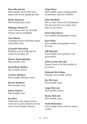#### Marcella Martin

Non-notable actress that had a minor role in one significant film.

Ricky Martinez Non-notable porn actor.

Philippe Martin IV Actor whose roles are all really obscure and no notability.

Tara Mason Canadian actress with three minor (extra) film roles.

Grazielli Massafera Brazilian actress with just two works on brazilian TV.

Danny Mastrogiorgio Non-notable actor.

Sarah Beck Mather Non-notable actress.

Connor Matheus Non-notable television actor.

Bernie Matthew Non-notable actor.

Johan Matton Non notable actor

#### Joe Maw

Child actor who seems to have received no press attention for his role in Tracy Beaker Returns.

Ange Maya

Non-notable actress lacking GHits of substance and zero GNEWS.

#### Julie Mayfield

She's a voice actress for Funimation, but does not have any major lead roles in any shows.

#### Jirina Mazankova

non-notable pornographic actress.

Jynx Maze non-notable pornographic actress for now.

#### Jeff Mazzola

Non notable actor, producer and prop master.

Debra Lynne McCabe Doesn't seem to be that notable of an actress.

## Deborah McCallum

Patently non-notable actress.

Jay McCarey Non-notable actor.

Angel McCord Non-notable actress.

Rocky McCord Non-notable actor.

Nichi McFarlane Non-notable actress with no major credits.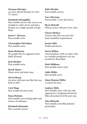#### Norman McGuire nn actor, played bit parts in a few TV shows.

#### Elizabeth Mclaughlin

Non-notable actress who was in one straight-to-video movie and had a bit part on a single episode of Ugly Betty.

Jason C. McLean Non-notable actor.

Christopher McLinden Non-notable actor.

Suzie McSnuzie No google hits for supposed actor; likely fictional.

Jack Meakin Non-notable actor.

Derek Mears Minor actor and stunt man.

Nevin Meçaj An actor with just one film that was back in 2001.

Curt Mega Non-notable bit-part actor.

Dana Melanie Non-notable actor lacking ghits and Gnews of substance.

Elizabeth Melendez Not a notable actress. Sofia Mendez Non-notable actress.

Lucy Merriam Non-notable 7 year old actress.

Ryan Metcalf Obscure actor with just a few roles.

Cherie Michan Actress who does not meet the basic notability requirements.

Jessica Mila Model and actress.

# Nevin Millan

Actor/producer with no major roles in a notable production, nor any awards for short films.

Matt Millburn Non-notable minor actor.

Addy Miller Non-notable actor.

Omar Benson Miller A minor-bit actor.

Andrew Mills Non-Notable actor, who has only appeared in 4 underground horror films all produced in the past year.

Alex Miranda Non-notable actor/film industry personality.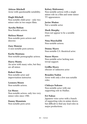Atticus Mitchell Actor with questionable notability.

Hugh Mitchell Non-notable child actor - only two minor roles in two major films.

Ayesha Mohan Non Notable actress.

Melissa Monet Non-notable porn actress and director.

Zoey Monroe A non-notable porn actress.

Karlie Montana Non-notable pornographic actress.

Harry Monty An actor with many roles, but they are all minor.

Robert Moon Non-notable actor and improvisation instructor.

Leonora Moore Non-notable actress.

Liz Moses Non-notable actress, only two very minor roles since 1980.

Danny Mountain Non-notable porn actor. Kelsey Mulrooney Non-notable actress with a single minor role in a film and some minor TV appearances.

Javier Muñoz Not a notable actor.

Mark Murphy Does not appear to be a notable actor.

Nina Muschallik Non-notable actress.

Donny Myers Non-notable U.S. theatrical actor.

Stacee Myers Non-notable actor lacking nontrivial support.

Griffin Myers obscure or unknown actor

Branden Nadon Actor with only a few non notable roles.

Chikayo Nakano Non-notable actor with one supporting role in Madlax.

Eri Nakao Japanese voice actor with a bunch of supporting roles in anime shows, but difficult to find any lead roles in major productions.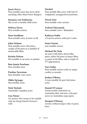Jason Narvy Non-notable actor has never done anything other than Power Rangers.

Suzanna von Nathusius She is not a notable child actor.

Melissa Navia Non-notable actress.

Sean Needham Non-notable actor, if actor at all.

John Neilson Non-notable actor who had a couple of bit parts in a handful of memorable films.

Kristin Nelson Not notable as an actor or painter.

Ben-Jamin Newham Non-notable actor.

Pauline Newstone Non-Notable voice actor.

Obilo Ng'ongo Not-notable actor.

Nick Nichols Unnotable Canadian actor.

Lisa Niemi An actress who seems to be notable only for being Patrick Swayze's wife.

Nischal

Non-notable film actor with lots of completely unsupported assertions.

Nissae Isen Non-notable voice actress.

Vishaal Nityanand Non-notable actor / filmmaker.

Kathryn Noble a b-movie actress with just 2 roles.

Sonia Noemí non-notable actress

#### Michael De Nola

nn actor with half a dozen film parts, either bit parts in major films, or parts in bit films, and a couple of TV appearances.

#### Tara Nulty

Non-notable actress with no major credits or awards.

Joshua O'Brien

A non-notable bit part television actor.

Daniel O'Connor

Unsuccessful contestant on Australian Idol, and now a bit-part actor on Australian soap-opera.

#### Seregon O'Dassey

Actress without major roles or press buzz.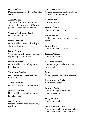#### Oliver O'Dea

Does not meet notability criteria for actors.

#### April O'Neil

AVN award (twitter queen) not significant award and XBIZ award (girl/girl actress) scene related.

Chris O'Neil (comedian) Non-notable bit actor.

Sundra Oakley Non-notable actress and reality TV show contestant.

#### Izumi Ogami

Voice actress only notable for one supporting role in Inuyasha.

Mariko Okubo Non-notable actor lacking nontrivial support.

Shunsuke Okubo Actor in minor roles, mostly in minor movies.

Vince Orlando Unremarkable actor/screenwriter.

Joshua Ormond Non-notable actor lacking nontrivial support.

Ash Ortega Unotable actress who has yet to get stardom

Alexia Osborne Actress with just a single credit in an as yet unreleased film.

Ed Oxenbould Not a notable actor.

Mizuki Ōtsuka Non-notable voice actor.

Dener Pacheco He has just a few experience as an actor.

Laurel Page Non-notable voice actress.

Jordan Palmer Non-notable actor.

Rajendra panchal Does not appear to be a notable theater actor.

Panky Actor who has very little notability

Calen Maiava Paris Non-notable actor.

Tammy Parks Non-notable pornographic (softcore) actress.

Suraj Partha Non-notable actor.

Mitesh Kumar Patel Non-notable actor/producer lacking GHits of substance and GNEWS.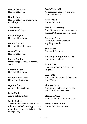Henry Patterson Non-notable actor.

Namik Paul Non-notable actor lacking nontrivial support.

Ahti Paunu nn actor and singer.

Raegan Payne Non-notable actress.

Hunter Pecunia Non-notable child actor.

Quran Pender Non-notable actor.

Loreto Peralta Does not appear to be a notable actor.

Carmen Perez Non-notable actress.

Brittany Perrineau Not a notable actress.

Biju Phukan A non-notable actress.

Reba Phukan A non-notable actress.

#### Justin Pickett A minor actor with no significant roles (he has had guest appearances on multiple show - usually for only one episode).

Sarah Pickthall Actress known for just one kids show and that's it.

Perri Pierre Non-notable actor.

Pile (voice actress) Some Random actress who was an amazing ONE role and some CDs.

Caroline Pires Irrelevant actress never did anything notable.

Jack Polick Unremarkable actor.

Preechaya Pongthananikorn Non-notable actress.

Laura Post Amateur actress known for fan projects.

Eric Potts Appears to be unremarkable actor and TV extra.

Thomas Price Non-notable actor lacking GHits and GNEWS of substance.

Florence Pugh Actress who falls under too soon.

Haley Alexis Pullos Non-notable teen actress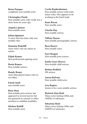Brian Pumper completely non-notable actor.

Christopher Purdy Non-notable actor, only credit was a short from six years ago.

Amjad J. Qaisen Non-notable actor.

Julian Quintart A actor who has done only non notable roles.

Damaine Radcliff Actor who's role are minor in nature.

Elijah Ramos Non professional aspiring actor

Roxie Ramos Non-notable actress...

Randy Raney Actor that played minor roles in two films.

Emad raouf non-notable actor

Roxy Rare Non-notable porn actress; has appeared in several movies but has garnered no awards or other mention to establish notability.

Mishon Ratliff Non-notable actor Cecile Raubenheimer Non-notable actress with some minor roles, who appears to be working in the hotel trade.

Kane Raven Non notable actor.

Charlie Ray Non-notable actress.

Tiffany Rayne Non-notable pornographic actress.

Reza Razavi Non-notable actor.

Faye Reagan Non-notable porn actress.

Emily Grace Reaves Non-notable child actress.

Bettina Redlich NN actress.

Aaron Refvem Non-notable child actor.

Lisa Regina Seems to be a non-notable actress.

Richard Alan Reid Minor actor lacking GHits and GNEWs of substance.

Sebastian Reid Minor actor lacking GHits and GNEWS of substance.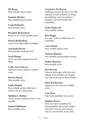JM Reyes Non-notable minor actor.

Sammie Rhodes Non-notable porn actress.

Craig Richards Non notable actor.

Brandōn Richardson Seems to be a non-notable actor.

Prince Richardson Actor of no detectable notability.

Armando Riesco Non-notable working actor.

Noah Ringer Actor has only appeared in two films.

Leslie Garza Rivera Mexican actress with no notable roles.

Martin Roach Non-notable actor.

Emily Robins Non notable actress that has a minor role in a Soap opra.

Sheldon F. Robins Actor, writer, producer who is nonnotable.

Samuel Robinson Non-notable actor.

Geneviève De Rocray Dubbing actress who has very little amount of roles (outside of doing the dubbing voice for princess Jasmine, can't find much else notability)

Vicky Rodewyk Non-notable actress.

Ron Rogge An actor with no indications of notability.

Curt roland Non-notable minor actor.

Chelsea Romero non-notable pornographic actress.

Walter Romney Non-notable actor.

Ilza Rosario Actress and singer who does not appear to be notable yet, despite one role in the movie Burn Notice.

Mick Del Rosario Appears to be a not-yet-notable actor.

Croc Rose May lack notability as an actor.

Daphne Rosen Does not meet notability for Pornographic actors and models, she never won an award (only was in a movie that won), only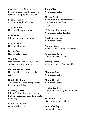nominated once for an award, has not unique contributions to a specific pornographic genre, etc

Sofia Rosinsky Child actor with only minor roles.

Avy Lee Roth Non-notable porn actress.

Nick Roux Minor actor who is not notable.

Cody Rowlett Non-notable actor.

Briana Roy Non-notable actress.

Vipul Roy Non-notable actor lacking GHits and GNEWS of substance.

Masum Parvez Rubel Non-notable as actor or martial artist.

Natalie Rushman An actress that does not appear to have any notability.

Geoffrey Russell Minor British television actor; can't find any significant press to indicate notability.

Lee Wayne Ryder Non-notable actor.

Joseph Rye Non-notable actor.

Hussan Saad Actor with just a few roles so far which falls under the too soon criteria.

Nishikant Sadaphule Non-notable actor/director.

Brodie Sanderson Non-notable actor.

Nanami Sano A voice actress with just one role.

Ayana Sasagawa Non-notable voice actor.

Sarang Sathaye Actor with only a few unotable roles

Manolita Saval Non-notable actress.

Manuel Saval Non-notable actor.

Ashley Sawdaye Non-notable or marginally notable actor.

Verushka Scalia Likely non-notable actress.

Tom Schanley non notable actor.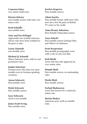Cameron Scher very minor child actor.

Marion Scherer non notable actress with only very minor roles

Scott Schiaffo non notable actor

Amy and Zoe Schlagel Apparently non-notable actresses

whose roles have been confined to bit parts to date.

Lenny Schmidt non-notable actor

Michael Q. Schmidt

Minor character actor, with no real prominent roles.

#### Jumbo Schreiner

German actor who does not seem notable even in German-speaking countries.

Aaron Schwartz Non-notable actor

Maïté Schwartz Non notable actress

Gary Schwartz Actor is not notable.

James Scott Irving Non-notable actor.

Jocelyn Seagrave Non-notable actress.

Adam Searles Non notable former child actor who now has a few bit parts in British TV series to his credit.

Aima Rosmy Sebastian Non-Notable Malayalam actress

Anya Selecki Non-notable actress lacking Ghits and GNews of substance.

#### Scott Sewperman

Non notable pornographic actor with a role in only one film.

#### Josh Shada

Actor who has only appeared an very minor roles.

#### Dimple Shah

Non notable actress, no outstanding roles

Heeba Shah Non notable actress.

Farhad Shahnawaz Actor best known for a relatively minor role.

Martin Shakar American actor with no notable roles.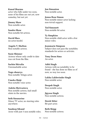#### Kunal Sharma

actor who falls under too soon, none of his films are out yet, now someday, but not yet.

Jimmy Shaw Non-notable actor.

Sandra Shaw Non-notable bit actress.

David Shea nn actor/model.

Angela V. Shelton Non-notable actress.

Susie Shinner Actress whose only credit to date was cut from the film.

Sachin Shivalia Unremarkable actor.

Naga shourya Non-notable Telugu actor.

Umeka Shōji Non-notable voice actor.

Ankita Shrivastava Non notable actress, had small stints in the movies.

Seth Sieunarine Minor TV actor, no starring roles anywhere.

Sandeep Sikand Actor with just 3 non notable roles. Jon Simanton Non-notable actor.

Jenna Rose Simon Non-notable minor actor lacking non-trivial support.

Ted Simonett Non-notable bit actor.

Ty Simpkins Non-notable child actor with a few minor roles.

Jeanmarie Simpson Subject does not pass the notability standards for actors or activists.

Tony Deon Sims An actor.

Aditi Singh Actress with no notability to be found - she has done no films as of now, so way too soon.

Lakha Lakhwinder Singh Non notable actor.

Deepak Singh Non-notable actor.

Jigyasa Singh Non-notable actress.

Derek Sitter Bit part actor.

Beth Skipp Non-notable actress.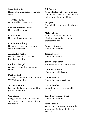#### Jesse Smith, Jr. Not notable as an actor or martial artist.

T. Ryder Smith Non-notable actor/actress

Katlynn Simone Smith Non-notable actress.

Riley Smith Non-notale actor and singer.

Ron Smoorenburg Notability as an actor or martial artist not established.

Alexandra Socha NN replacement actress in a Broadway musical

Meilinda Soerjoko Actress with too few and minor credits.

Michael Soll An actor/screenwriter known for a VERY obscure film.

Ari Sorko-Ram Fails notability as an actor and for general notability

Gus Sorola Being a computer technician and voice actor is not enough, not by a far stretch.

Bill Sorvino Actor/film festival owner who has won only local awards and appears to have only local notability.

Ed Spear Not notable; an actor with only one role.

Melissa Spell Actress with a small handful of roles, apparently as a minor character or extra.

Vanessa Spencer Non-notable actress.

Joseph Stacey Non-notable actor.

Jonna Leigh Stack An actress who just has one role.

Connor Stanhope Non-notable child actor.

Charmane Star Non-notable porno actress.

Carrie Stauber Carrie Stauber is a non-notable actress.

Kate Steavenson-Payne Non-notable actress.

Laurie Steele Voice actor whose only major role was young Krillin in the Dragon Ball series.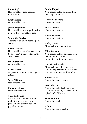Elena Stejko Non-notable actress with only minor parts.

Kaj Stenberg Non-notable actor.

#### Joulia Stepanova

Non-notable acress or perhaps just non-verifiably notable actress.

#### Samantha Sterlyng

Appears to be a non-notable porn actress.

#### Bert L. Stevens

Non-notable actor who seemed to be an "extra" in many films in the 1940s-1960s.

Stuart Stevens Non-notable actor.

#### Lara Stevens

Appears to be a non-notable porn actress.

Sean Ali Stone Non-notable actor.

Malcolm Storry Not a notable actor.

#### Yuna Sugiyama

Child actress who seems to fall under too soon-someday she probably will deserve her own page-but not yet.

Sumbul Iqbal Non-notable actor, mentioned only in a couple of blogs.

Clinton Sundberg Non-notable actor.

Thesy Surface Non-notable actress.

Eliska Sursova Non-notable actress.

Buddy Swan Minor actor in a major film.

Eliza Swenson Non-notable actress and producer, mainly of direct-to-video productions or in minor roles.

#### Natsuki Takahashi

Minor actress with a short career who only appeared on 3 TV shows and had no significant film roles.

Satoshi Taki Non-notable voice actor.

Mia Talerico Non-notable child actress who, according to IMDb, has been on one episode of a TV show.

Steve Talmud Non-notable actor

Talon Non-notable porno actor.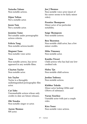Natasha Talonz Non-notable actress.

Dijon Talton Not a notable actor.

Jason Tam Not a notable actor.

Jasmine Tame Not notable under pornographic actress criteria.

Felicia Tang Non-notable actress/model.

Megumi Tano Non-notable voice actor.

Tara Non-notable actress, has never appeared in any notable films.

Clayton Taylor Non-notable actor.

Isis Taylor Taylor is a throughly undistinguished pornographic film actor.

Cat Tebo Unremarkable actress whose only credits to date are future releases.

Obi Tenaka Non-notable singer or actor.

Aaron Thomas NN actor.

Joe J Thomas Non-notable voice actor (most of his career seems to be fairly minor roles).

Prentiss Thompson Minor actor of no particular notability.

Saige Thompson Non-notable actress.

Ben Thornton Non-notable child actor, has a few minor credits.

Mike Timoney Non-notable actor.

Kanika Tiwari Child actress who has had one lowcredited role.

**Haley Tiu** Non-notable child actress.

Jordan Todosey Non-notable actress.

Klebber Toledo Minor actor lacking GHits and GNews of substance.

Varun Toorkey Unotable actor with just a couple roles.

Kira Tozer Non-notable voice actress.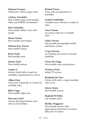Michael Treanor Child actor, with no major roles.

Andrew Trischitta Non-notable minor actor lacking Ghtis and GNEWS of substance.

Rati Tsiteladze Non-notable athlete, actor and model.

Dylan Turner Non-notable actor/singer.

Melanie Kay Turner Non-notable actress.

Brian Tyler Non-notable actor.

Donier Tyler Non-notable actress.

Tsubee U Actress which fails to meet the notability requirements for actors.

Alban Ukaj Actor who is basically in a bunch of unotable roles.

Billy Unger Non-notable child actor.

Meryem Uzerli Actress that played minor roles only in several films.

Roland Varno Actor with no indications of notability.

Vishal Vashishtha Unotable actor with just a couple of roles.

Tanvi Verma An actress with just 2 unotable roles.

Chloe Vevrier Non-notable pornographic model and former actress.

Craig Vincent nn working actor, just no external notability

Vinny De Vingo Non-notable actor and producer.

Trishna Vivek Indian TV actress.

Rashidah De Vore Actress with only a couple unotable roles so far.

Gloria Votsis Non-notable actress.

Raphaël W.Pathé non-notable actor.

Shelley Waggener Non-notable actress, with appearances in bit parts of various films and TV shows.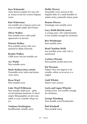# Sara Wakatsuki

Actor known mainly for one role as Asuna in the live-action Negima series.

#### Kim Wakerman

not notable not a famous actor not even on imdb unlike Bel Powley

# Oliver Walker

Non notable actor with small appearance in movies.

#### Patricia Walker

Non-notable actress who was married to Blake Edwards.

Braden Walkes Child actor, but not notable yet.

A.J. Walsh Non-notable actor.

Mark Walton (story artist) Unnotable story artist and minor voice actor.

Ryan Ward Non-notable actor.

# Luke Ward-Wilkinson

Non-notable child actor - ghits reveal minimal mentions or short/ empty filmographies at mtv.com, imbd, tv.com, youtube, blogs etc.. etc.

Tashiana Washington Insufficiently notable actor. Mollie Weaver

Unnotable voice actress in the English dubs of a small handful of anime series, primarily minor parts.

Roman Weaver Seemingly non-notable actor.

## Lucy Webb (British actor)

A young actor, who unfortunately is not notable enough for inclusion.

Ben Weinberger

Non notable actor

#### Brad Charlton Wells

non-notable actor, only role is unreleased

Carlucci Weyant Non-notable model and actor.

#### Kit Weyman

Subject does not appear to be notable, either as an actor or a rapper.

Andi Whaley Minor voice actress.

#### Layla and Logan Wheeler Young actors, not notable enough for inclusion.

George Wienbarg Non-notable actor/broadcaster.

Rob Wiethoff Non-notable actor.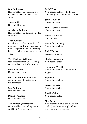# Don Wilbanks

Non-notable actor who seems to have never made it above extra work.

# Steve Will

Non-notable actor.

#### Athelston Williams

Non-notable actor, famous only for an injoke.

## Toby Williams

British actor with a career full of unimpressive roles, and a comedian who is apparently "award winning", but it is unclear what award he has won.

#### Tyrel Jackson Williams

Non-notable minor actor lacking GHits and GNEWS of substance.

Pete Williams Unotable voice actor

#### Ben Alekzsander Williams

A non notable bit part actor and band member.

Scot Williams Non-notable actor.

Daniel Williams Non-notable actor.

#### Tim Wilson (filmmaker)

Non-notable actor lacking Ghits and GNEWS of substance.

Beth Winslet Non-notable actress, who hasn't done many roles in notable features.

John T. Woods Non-notable actor.

Melissa Jean Woodside Non-notable actor.

Derrick Worsley Not a notable actor.

# Deborah Worthing

Non-notable actress.

Rick Worthy non-notable actor.

Stephen Wozniak Non-notable actor.

## Alexander Wraith Non-notable actor - notability not supported.

Sophie Wu Non-notable actress.

Martin Wuttke Non-notable actor.

David Wyles Non-notable actor.

# May Wynn

An actress with only one major film credit (The Caine Mutiny) and only as a supporting character.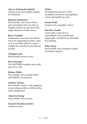# Alyssa & Hannah Yadrick

Young actors, not notable enough for inclusion.

## Kotomi Yamakawa

Non-notable voice actor whose most prominent role was Ako in Negima which was not one of the major characters in the series.

# Barry Yandell

Funimation voice actor but all his roles are supporting to minor ones, so it is not clear what he is most notable for and why he should stay around.

## Chingmy Yau

Non-notable inactive actor.

#### Eser Yenenler

Yet ANOTHER unotable actor with just a few roles.

#### Hakan Yildiz

Non-notable actor lacking GHits and GNEWS of substance.

#### Lindsay Younce

Non-notable "actress" who appeared in one religious film in 2004 and has since disappeared.

#### America Young

Non-notable voice actress.

#### Gerard Christian Zacher

Unknown actor.

# Zafira

No indication that any of the notability criteria for pornographic actors and models are met.

#### Seemi Zaidi

Seems to be a unotable actress.

## David K. Zandi

Actor with a total of two (uncredited) roles at imdb, and supposedly a producer too but imdb has nothing.

#### Salar Zarza

Non-notable actor lacking in-depth secondary support.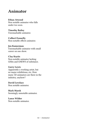# Animator

# Ethan Atwood

Non notable animator who falls under too soon.

Timothy Bailey Unremarkable animator.

Colbert Fennelly Non-notable effects animator.

## Jen Kamerman

Unremarkable animator with small career on one show.

Clay Kaytis

Non-notable animator lacking GHits and GNEWS of substance.

# Garry Lewis

Apparently a working artist, but no major exhibitions, etc. How many 3D animators are there in the industry, anyhow?

David Lovelace Non notable animator.

Mark Marek Seemingly unnotable animator.

Lance Wilder Non-notable animator.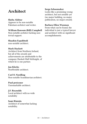# Architect

# Sheba Akhtar

Appears to be non-notable Pakistani architect and writer.

# William Ransom (Bill) Campbell

Non-notable architect lacking nontrivial support.

# Shaahin Espahbodi

non-notable architect.

# Mark Hackett

Architect from Northern Ireland, but all of the awards and achievements are attributable to the company Hackett Hall McKnight, of which he is one partner.

# Jan Klerks

NonNotable architect.

# Carl O. Nordling

Non-notable Scandinavian architect.

# Paul preissner

Unremarkable architect.

# J.F. Reynolds

Local architect with no wide notability

# Sami Rintala

Architect of somewhat lacking notability.

# Serge Schoemaker

Looks like a promising young architect, but not notable yet (no major building, no major publication, no major award).

# Barbara Ellen Waxman

From what can be found, the individual is just a typical lawyer and architect with no significant accomplishments.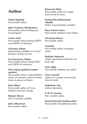# Author

Walid Abdallah Non-notable author.

#### John Christian Abrahamson Non-notable author lacking nontrivial support.

Curtis Ackie Non-notable author lacking GHITS and GNEWS of substance.

# Christina Adams

Questionable notability of a writer/ producer of three movies.

# Lavonne Jayne Adams

Non-notable author lacking GHits and GNEWS of substance.

# Nick Adams (political author speaker)

Non notable author: 2 self published books, on iuniverse, which worldcat shows is almost no library.

# Koji Aihara

Non-notable author of Even a Monkey Can Draw Manga.

Shamal Akrayi Poet of unclear notability.

John Albrecht Jr. Non-notable author. Raymond Allan Non-notable author of a single fiction book for teens.

Rasheed bin Mohammad Altokhi Writer of questionable notability.

Mary Francis Ames Non-notable children's book author.

Cleveland Amory Non notable author.

Ananthu Non-notable Indian screenplay writer.

#### Melinda Anderson

Author apparently notable for one book only.

Nick Aplin Non-notable academic and author

Chris Armold Author of a number of somewhat obscure books.

Sydenham Arts Author deprodded.

P. M. H. Atwater Not a notable author.

Rassool Russell Auckbaraullee Non-notable self-published author.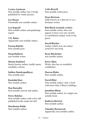Carina Axelsson Non notable author, has 3 books published by vanity presses.

Lee Bacon Potentially non-notable author.

Lyn bagnall Non notable author and gardening expert.

T.N. Baker Apparently non-notable author.

Farooq Bakshi Non-notable poet.

Doug Baldwin non notable writer.

Martin bamford Barely known author, hardly meets notability criteria.

Subhro Bandyopadhyay Non notable poet.

Rashidul Bari Non notable author.

Dan Barnabic Non-notable activist and author.

Perry Belcher Non-notable author with a few selfpublished books under his belt.

Manikanta Belde Non-notable author. Celia Berrell Non-notable writer/poet.

Dean Bertram Little known as a director or as a freelance writer.

Bob Black (comedy writer) Non-notable writer, does not appear to have won any awards or contributed unique work to his genre.

David Blacker Author which won one minor award for one book.

Ryan Blacketter non notable author.

Kerry Blair Writer who has no notability established.

Marcus Blake Non notable author.

David Blixt Non notable author: only 1 book with more than 2 library holdings.

Jonathan Blum Non notable author of a single non notable book.

Kathryn Borel Jr. Non-notable author.

Timothy Boronczyk Apparently non-notable author.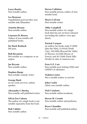Lassy Bouity Non-notable author.

Les Branson Unpublished poet/novelist; nonnotable indy filmmaker.

Annette Breaux Non-notable author.

Laurence B. Brown Author of non notable self published books.

Sir Mark Bruback NN poet.

Rob Bryanton Not notable as a composer or an author.

Jae Bryson Non-notable author.

Stephen Burge Non-notable comedy writer

George Burk nn air crash survivor, author, speaker.

Alexander C.Morley Non-notable self-published writer.

Olivia Fox Cabane The author of a single book is not notable separately from the book.

Rob Cabitto Non notable author. Steven Callahan Non-notable person, author of nonnotable book.

Mayra Calvani Non-notable writer.

Abby Campbell

Non-notable author of a single book that has not yet been released (according the author's own spec sheet).

#### Patrick Carman

nn author; his books rank 37,309th (Into the Mist), 53,593rd (Tenth City), 109,590th (Beyond the Valley of Thorns), 55,554th (House of Power), and 367,520th (Dark Hills Divide) in sales at Amazon.com

Fern G.Z. Carr Non-notable poet lacking GHits and GNEWS of substance.

Vednita Carter Not a notable author or activist.

John Caslin Likely non-notable author.

Nick Catalano Non-notable author/academic.

Steven M. Cerutti Non-notable author and professor.

Bryce Chandler Non-notable self-published author.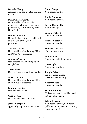# Belinda Chang

Appears to be non-notable Chinese writer.

## Mark Charlesworth

Non-notable author of selfpublished poetry books and a novel published by self-publishing firm Hirst Books

## Daniel Churchill

Notability has not been established as a chef, an author, or a TV performer.

#### Andrew Clarke

Non-notable author lacking GHits and GNEWS of substance.

#### Augusta Clawson Non-notable author, only gets 80

Google hits.

Tom Cohen Unremarkable academic and author.

Sebastian Cole Non-notable author lacking Ghits and GNews of substance.

Brandon Collier Non-notable author.

Greg Colton Non-notable television writer.

Jethro Compton apparently unpublished as writer. Glenn Cooper Non-notable author

Philip Coppens Non-notable author.

Edwin Cordevilla Non-notable poet.

Susie Cornfield Non-notable author.

Brian J. Costello Non-notable author.

Maurice Cotterell Not a notable author.

Pamela Cox Non-notable children's author.

Cleo Coyle Non-notable author.

Joseph Crisalli Self-published author of questionable notability.

Alistair Cross Non-notable author.

Jason Crummey He is an unelected candidate and not a notable writer.

White Crusade Non-notable author, non-notable publisher, no reviews, and nothing resembling an RS.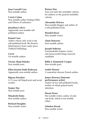Joan Carroll Cruz Non-notable author.

Carrie Cuinn Non-notable author lacking GHits and GNews of substance.

#### Jonathan Culver

Apparently non-notable selfpublished author.

## Daniel Cure

Author whose only work is the self-published book The Road to Inherita[nce], from vanity press Trafford Publishing.

Cuvie Un-notable author.

Vasant Abaji Dahake Non notable poet.

Ellen Kristin Dahl-Pedersen Apparently non-notable author.

Bigyan Darshan A 17-year old Nepali poet and social worker.

Sanjoy Das Non notable poet.

Minakshi Datta Non notable author.

Richard Daughty Non-notable writer. Rainye Day

Does not meet the notability criteria for authors or the general notability criteria.

#### Alexander DeLuca

Non-notable blogger and author of a self-published book.

# Manilal Desai

Non notable writer.

Alain Dizerens

Non-notable author.

#### Joseph Dobrian

Unremarkable feelance writer and unsuccessful fringe mayoral candidate.

# Billie J. Dominick-Cooper

Non-notable poet.

André Douzet A somewhat obscure French author.

# James Downey (Internet

performance artist) Author of two self-published books, neither of which gained much attention.

#### Hasan Draei Not notable writer, author of only one book, which is not notable either.

Zebulon Dread Non notable writer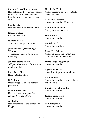Patricia Driscoll (executive) Non notable author: her only actual book was self-published by her foundation when she was president of it.

Lee DuCote Non-notable writer, Salt and burn.

Naomi Duguid not notable author

Richard Easter Simply too marginal a writer.

John Edwards (Technology Writer) Technology writer with no clear notability.

Jannion Steele Elliott Self-published author of some nonnotable books?

Mary Beth Ellis Not a notable author.

Rifat Emin Does not appear to be a notable poet/author.

R. M. Engelhardt Unremarkable local poet from Albany, New York, USA.

Ari Enkin Non-notable rabbi and author and blogger.

Herbie the Erbie Author seems to be barely notable, via Google test

Edward M. Erdelac Non-notable author/filmmaker.

Karl Bjorn Erickson Utterly non-notable writer.

James Fahy Non-notable author.

Daniel Falatko Non-notable author.

Ryan Neil Falcone Author of minor fiction that has been published in magazine.

Marie-Ange Faugérolas Non-notable author.

Ngarto Februana An author of question notability.

Alan Fenton Non-notable author of non-notable fiction books.

Charity Gaye Finnestad Non-notable author.

Jerome FitzGerald Non-notable author.

Tom Fitzgerald Non-notable author.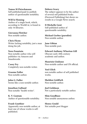Tomas M Fleischmann Self-published/paid-to-publish author of questionable notability.

# Will le Fleming

Author of a single book, which, according to WorldCat, is found in only 34 libraries.

# Giovanna Fletcher

Non notable author.

Chris Flynn Writer lacking notability, just a man doing his job.

Nora Fountain Non-notable author who selfpublishes via Amazon and Smashwords.

Casey Fry Completely non-notable writer.

Graeme Fuller Non-notable author.

John G. Fuller Seems like a non-notable author.

Jonathan Galland Non-notable "health writer".

K. V. Gautam Author of questionable notability.

Frank Gauthier Apparently non-notable author, at least one of whose works is selfpublished.

Debora Geary

The subject appears to be the author of several self published books (Fireweed Publishing) but shows no results in a Google News search.

# D Michelle Gent

Self-published author of questionable notability.

# Michael Gerber (parodist)

Non notable author.

Jane Gibian Non-notable poet.

Edward Anthony Wharton Gill Obscure early 20th century academic and author.

Maurizio Giuliano Non-notable author and UN official.

Yoel Glick non notable author of self published works.

Sheldon Goldfarb Non-notable author.

Joel Goldman Not a particularly notable author.

Slim Goodbuzz Non notable anonymous author.

Henry Gould Not notable poet blogger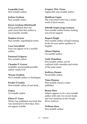Leopoldo Gout Non-notable author.

Joshua Graham Non notable writer.

# Karen Graham (Dietitian)

Being published does not quite mean that that author is neccesarially notable.

Stephen Grasso Non notable, unpublished writer.

Case Greenfield Does not appear to be a notable author.

Emanuel Grigoras Non-notable author.

Chander P. Grover notability questionable/possible author vanity/COI

Wayne Grudem Not a notable author or theologian.

Peadar Ó Guilín Non-notable author of one book...

Gujira Un-notable author

# Eileen P. Gunn

Writer, has published one book that was mentioned in Newsday; does not appear notable.

Gregory Wm. Gunn Apparently non-notable author.

Shubham Gupta The concerned writer has a minor work of short stories.

#### Subodh Gupta (yoga trainer)

Non-notable author/trainer lacking non-trivial support.

#### Rupert Haigh

Non-notable author of legal training books for non-native speakers of English.

Okano Hajime Un-notable author

#### Andy Hamilton

Non notable author, not be confused with comedian and writer of the same name.

Kathryn Hamm Nonnotable author.

Timo Hannay Non-notable science writer/ publisher.

# Bruno Hare

Subject appears to be a non-notable author with only two recent books and zero mentions in the Google News archives.

William Hare Non-notable author.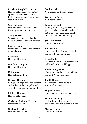# Matthew Joseph Harrington

Non-notable author: sole output appears to be two short stories in the shared-universe anthology Man-Kzin Wars XI

#### Scott L. Harris

Non-notable pastor of local church, former professor, and author.

#### Trudy Harris

Subject appears to be a barely notable author of children's fiction.

#### Lisi Harrison

Unnotable author of a single series of teen books.

Erin Hart Non-notable author.

Harald K. Haugan Non-notable author.

Keith hayes Non notable author.

#### Rebecca Haynes

Being a (senior) university lecturer and author of the odd published work does not equate to notability.

Michael Henson Non-notable author.

Christine Terhune Herrick Unnotable author.

Clifford B. Hicks Non-notable author. Sander Hicks Non-notable author/publisher.

Wayne Hoffman Non-notable author.

#### Lucian Holland

He may be the son, grandson and great-grandson of notable writers, but is there any indication that he himself is notable in any way?

#### Joe E. Holoubek

Non notable author.

#### Sanford Holst

a non-notable author whose books appear to be self-published.

#### Brian Holtz

Unsucessful political candidate, selfpublished author and blogger.

#### Wang Sheng Hong

Non-notable author lacking GHits and GNEWS of substance.

#### Judith Hooper

Not notable beyond being the author of one book.

#### Stephen Horne Appears to be a non-notable writer.

Jason S. Hornsby Author known for two books published by vanity press iUniverse.

Michael Horton Non-notable author.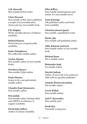A.R. Horvath Non-notable fiction writer.

Chris Howard Non-notable writer who's published a couple of non-notable short stories and one non-notable book.

E.B. Hughes

Writer and film director of dubious notability.

# Hirbod Human

Writer/director of questionable notability.

Jamie Humphreys Not sufficently notable author.

Avalyn Hunter Non-notable author of non-notable books.

Wiesława Hunzvi Non-notable Polish author.

Paula Huston Seems to be a not-particularlynotable author.

Chandra Kant Jaisansaria Non-notable author.

Pete Jedick Non-notable author lacking GHits and GNEWS of substance to support notability.

David John Jeffery Author of unclear notability. Edna Jeffrey Non-notable businessperson and author of a non-notable novel

Liam Jennings Sefl-published author and book, lacks notability

Christian Jensen (poet) Non notable, unpublished writer.

Dizzle, Jim Non-notable self-published author

Abby Johnson (activist) Non-notable author of non-notable

book.

Michael Jones Not a notable writer.

Shinozuka Jouji Un-notable author

Derrick Judson Author of one book to be printed in 2008 with no specified publisher?

Anatoly Borisovich Jurkin Not notable author.

Carrie Kabak Non-notable author.

Anil P. Kaveendra Non-notable poet.

Sarah Kay Unnotable young poet.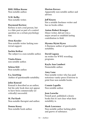# BML Hillen Keene

Non-notable author.

N.M. Kelby Non-notable writer.

# Raymond Kertezc

Kertezc is not a real person, but is a fake poet as part of a control question on a certain psychology test.

#### Oren Kessler

Non-notable writer lacking nontrivial support.

Sachin Ketkar The subject is a non notable author.

Vinita Kinra non notable author.

Selena Kitt Non-notable author.

E.a. koetting Author of questionable notability.

#### John Konrad

Konrad is described as an author, but his only book does not appear to have been commercially (or critically) successful.

M. Pat Korb Non-notable therapist and author.

Donna Kossy Non-notable book author.

#### Marton Kovacs

Apparently non notable author and advisor.

#### Jeff Koyen

Not a notable freelance writer and has no books either.

# Anton Robert Krueger

Minor writer, did not win a major award or establish lasting contribution to field.

## Myoma Myint Kywe

A Burmese author of questionable notability.

## David Lagana

nn writer for WWE wrestling programs.

#### Kayla Ann Lambert Nonnotable author.

# Amy Lane

Non-notable writer who has paid notorious vanity-press iUniverse to print four non-notable books.

Connie Lapallo Non notable author.

# Jean Laroche

French poet, published a dozen books but it's not clear what their notability is.

#### Mark Lawrence Non-notable author lacking ghits and gnews of substance.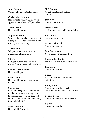Alan Lawson Completely non-notable author.

Christopher Leadem Non-notable author; all his works appear to have been self-published.

Anna Leahy Non-notable writer.

#### Angela LeBlanc

Supposedly a published author, but a google search for her name didn't turn up with anything.

#### Adrien leduc

Self-published author with no indications of notability.

#### J. M. Lee

Being an author of a few sci-fi novels does not establish notability.

Ekram Ahmed Lelin Non-notable poet.

#### Laura Lemay

Non-notable writer of computer books.

#### Sue Lenier

Poet who has garnered almost no media attention, yet is "superior to Shakespeare", "better than Ted Hughes", and "a much bigger thing than Sylvia Plath".

Jonell Lennon Non-notable TV writer. M G Leonard As yet unpublished children's author.

Josh Levs Non notable author.

Frontier Lift Author does not establish notability.

Ryn Lilley non-notable author.

Diane Lockward Non-notable poet.

Bent Lorentzen Not a notable Danish author.

Christopher Lotito non-notable self-published author.

Jess Lourey Non-notable author.

Ulli lust Webcomic author of dubious notability.

Jon Lyndon Non-notable author of selfpublished online poems and stories.

Bonnie Lyons Non-notable writer and professor.

S. J. Maas Non-notable author.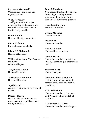Marianne Macdonald Unremarkable children's and mystery author.

## Will MacKinley

A self-published author (see publisher details at amazon: and the publisher's website who is insufficiently notable)

Ghani Mahdi Non-notable Algerian writer.

Mozid Mahmud the poet has no notability.

Edward F. Malkowski Non-notable author.

William Morrison "The Bard of Mallusk" Non-notable poet.

Virginia Marangell Nonnotable author.

April Alisa Marquette Non-notable author.

April Masini Author of non-notable website and books.

#### Darrin J Mason

Non-notable author whose one novel to date was published by a vanity publisher.

#### Peter D Matthews

Non-notable fringe author known for having recently proposed yet another hypothesis for the Shakespeare authorship question.

#### Anna Jean Mayhew

non-notable writer.

# Glenna Maynard

Unnotable author.

# Eva McCall

Non-notable author.

Kevin McColley Not notable as an author.

# George McCoy

Non-notable author of a guide to "massage parlours" (i.e. brothels) in the UK.

Jenn McCreary Non notable poet.

#### George Wallace Mcdonald

Author shows no inclination to respond to the need to establish notability.

# Bella McFarland

Non-notable author lacking any GNEWS and with no GHITS of substance.

C. Matthew McMahon Non-notable author/web designer.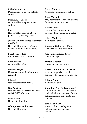# Miles McMullan Does not appear to be a notable author.

Suzanne McQueen Non-notable entrepreneur and author.

# Mease

Non-notable author of a book published by a vanity press.

# Joseph William Bailey Hardman Medford

Non-notable author who's only book was on his family history.

Elizabeth Medina Minor writer and translator.

Lynn Messina Non-notable author.

Marissa Meyer

Unknown author, first book just released.

Mimori Non-notable minor writer.

Gan Yao Ming Non-notable author lacking GHits and GNEWS of substance.

Nabi Misdaq Not a notable author.

Bibhuprasad Mohapatra Non-notable author.

Carter Monroe Apparently non-notable author.

Rima Morrell May not meet the inclusion criteria for academics or authors.

Richard Moss non-notable new age writer, referenced only to his own website.

Albert Mudrian Non-notable author.

Gabriella Gutiérrez y Muhs Dubious notability as an author.

Anupam Mukhopadhyay Non-notable poet.

Martin Musatov Non-notable screen writer.

Nazar Mohammad Mutmaeen writer of unpublished books, appears to be non-notable anyway

Vihang Naik Non notable poet.

# Chandran Nair (entrepreneur)

author of one not very important book, which won an award from an online magazine of no particular authority.

Sarah Neumann eBook author (possibly selfpublished) of questionable notability.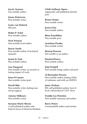Jon K. Newton non-notable author.

Janna Nickerson Non-notable writer.

Louis van Niekerk NN poet.

Robin P. Nolet Non-notable author

Nick Noonan Non-notable local author.

Barrie North Non-notable author of technical manuals.

Justin D. Nutt Non-notable author.

Lise Nørgaard Non-notable writer, no awards or lasting impact of work.

Sean O'Connor Non-notable writer/poet.

David Ohle Non-notable writer lacking nontrivial support.

Antony Oldknow Non-notable writer.

Suzanne Marie Olsson A self-published author who believes Jesus is buried in Kashmir. Chidi Anthony Opara Apparently self-published internet poet.

Bruno Osimo Non-notable writer.

Jessica Pan Non notable author.

Bhau Panchbhai Non notable poet.

Ayushma Pandey Non-notable writer.

Sharon Pearson Not notable as an author.

Hayford Peirce Non-notable author.

Dale Pendell Non-notable fringe author and poet.

Al Bermudez Pereira Non-notable author lacking GHits of substance and with no GNEWS.

Janet, Perkins NN, self-published author, host of local, self-produced CATV show

Freddie Lee Peterkin Non-notable musician and author.

Barry Peters Unremarkable author and teacher.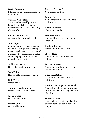#### David Peterson

Internet writer with no indication of notability.

# Vanessa Van Petten

Author with one self-published book (the publisher iUniverse describes itself as "Self Publishing Company").

# Edward Pinkowski

Appear to be non-notable writer.

# Alan Pipes

non notable writer, mentioned once in Daily Telegraph for collecting unusual cycle lanes, web master of a channel 4 tv programme's website and managing editor of a CAD magazine in the last 70' s...

William Pitcock Non notable software author.

Soth Polin Non-notable Cambodian writer.

Rolf Potts Minor writer.

Thomm Quackenbush Unremarkable e-book author.

Justin Quarry Non-notable writer.

Maura Quint NN notable writer. Praveen Crypty R Non-notable author.

# Pankaj Rag

Non Notable author and mid level civil servant

# Roger Rawlings

Non-notable author.

# Michelle Reale

Not notable either as a poet or a librarian.

# Raphaël Reclus

Possibly non-notable author.

# Skyler Reep

Non-notable self-improvement author.

#### Suzanna Reeves Non-notable author/singer lacking non-trivial support.

# Christian Rehm Clearly not a notable author or politician.

# Factions: Revenge of the Reich

No mention after a google search of title, only a few in passing mention of author.

# Stewart Reuben

A mere chess organizer and author of some books on poker nobody bought.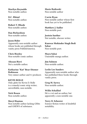Marilyn Reynolds Non-notable author.

D.C. Rhind Non-notable author.

Robert T. Rhode Non-notable author.

Dan Richardson Non-notable author.

# Jason Rider

Apparently non-notable author whose books are published through vanity press PublishAmerica.

Chris Riseley Non-notable comic author.

Ahsaan Rizvi Not a notable author.

Katharine "Kat" Bear-Diemer Robinson Very minor author and tv-producer.

KEVIN ROLLE Only ghits for Kevin D. Rolle is a comedy/comic strip writer; unverifiable, non-notable.

Nick Rosen Non-notable author.

# Meryl Runion

Non-notable author lacking GHits and GNEWS of substance.

Marie Rutkoski Non notable author

Carrie Ryan Non-notable author whose first book has yet to be published.

Matthew J. Sadler Non-notable poet.

Jostein Saether Not notable, obscure writer.

Kunwar Mohinder Singh Bedi Sahar Non-notable poet.

Mayu Sakai Unnotable manga author.

Jim Salmon Non-notable author.

Leslie Lee Sanders Apparently non-notable author who has published three books through vanity press.

Greg M. Sarwa Non-notable author.

Willis Schalliol He's a vet and an author, but apparently a non-notable one.

Terry D. Scheerer Science-fiction writer of doubtful notability.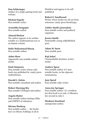## Don Schlesinger

Author of a single gaming book and website.

Michael Segedy Non-notable writer.

Arunabha Sengupta Non notable author.

# Ahmad Shafaat

The author appears to be neither notable as a mathematician nor as an Islamic scholar.

# Hafiz Muhammad Shariq

Non-notable author.

#### Aiden Shaw

Apparently non-notable author/ model.

#### Durk Simmons

Non-notable writer whose only book was published by vanity press AuthorHouse.

Harold L. Sirkin Non-notable consultant and author.

Robert Morning Sky Non-notable UFOlogist and author.

Angela Slatter Non-notable author lacking GHits and GNEWS of substance.

# Miriam Slozberg

Non notable author - - the books have no library holdings at all in

Worldcat and appear to be self published.

#### Robert F. Smallwood

Writer whose books are all out from notorious vanity press BookSurge.

#### Ashley Smith (journalist)

Non-notable writer and political organizer.

#### Jessica Smith

Nonnotable young selfpublished poet.

# Adam M. Snow

Non-notable poet.

#### Raji Sohal

Unremarkable freelance writer/ stylist.

#### Andrew Spear

Non notable author of 3 nonnotable books, in the adjacent nominations.

#### Jane Speed Non-notable radio writer.

#### Anna Joy Springer

Non notable author; A/c worldcat, her first book is in only 13 libraries, her second in only 2.

Meaburn Staniland unimportant author.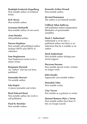# Rudolph Frederick Stapelberg

Non-notable author of technical books.

R.H. Stavis Non-notable author.

Graziano Stefanelli Non-notable author of one novel.

Aron Steinke Self-published author.

## Darren Stephens

Non-notable self published author lacking GHITS and GHITS of substance.

# Sam Stephenson

Sam Stephenson seems to be a minor writer.

Benjamin Sternick An "author" who has not been published.

Samantha Stewart Un-notable author.

Edo Stojčić A minor journalist and writer.

Brett Edward Stout Non-notable author, his work is self-published.

Paul M. Strickler Non-notable author. Kenneth Arthur Stroud Non-notable author.

Øyvind Strømmen The author is not himself notable.

#### Clifford Allan Sullivan

Self published author/independent filmmaker of questionable notability.

## Mark I. Sutherland

Sutherland is, to be sure, a published author, but there is no indication that he is notable as an author.

#### Mark Sutherland

Non-notable author lacking nontrivial support.

#### Haryono Suyono

Non notable speech writer, website no longer exists

Julia Suzuki Apparently non-notable author.

Hannibal Tabu Non-notable writer.

Clay Tarver Not notable as a guitarist or writer.

# Manuel Romero Mier y Terán Non-notable author (less than 10 hits on Google search)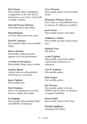# Dick Teresi

Non-notable author; attempting to piggyback on the fact that he ghostwrote or co-wrote a book with a notable scientist.

Edward Payson Terhune

Unnotable pastor and author.

Meg Thomann A writer, editor not in any news.

David N. Thomas Non-notable author of non-notable books.

## Duerre thomas

Nonnotable author/preacher, appears to be self-promotional.

Caroline H Thompson Non-notable fringe science author.

Nathan Thoms Author with one self-published book based on own thesis.

Jonty Tiplady Non-notable poet.

Paul Tomkins There's no debating he's a writer, but he is simply not notable.

EJ Topping Non-notable author lacking GHits and GNEWS of substance.

# Troy Townsin

Non-notable author of non-notable books.

#### Rosemary Winters Tracey

Poet, with one self published work in amazon, & nothing on worldcat.

Jack travers

Non-notable teacher and author.

# William S. Tribell

Non-notable up-and-coming minor poet.

Michael Trice NN author.

# Lynne Triplett

Non-notable comic book author lacking ghits and Gnews of substance.

Lars R. Trodson Non notable author.

Seth Tucker Non-notable author.

Joe Turman Non-notable author with zero GNEWS and no GHits of substance to support notability.

Susan Tuttle Non-notable teacher and writer.

Harilal Upadhyay Seemingly NN author.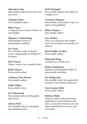# Akinobu Uraka

Non-notable author known for only one work.

Ardashir Vakil Low notability author.

Mike Vance A supposed poet whose existence is unverifiable.

Thomas L. Vaultonburg Self-published writer of questionable notability.

# Lee Vayle

Not a notable author in that he wrote a hagiography of William M. Branham.

Kyle Veazey Doesn't seem to be a notable writer.

Kelly Velayas Non-notable author.

Anthony Venn-Brown Non-notable author.

Pablo Villaça Non-notable writer.

Sri Vishwanath Non-notable author lacking ghits and Gnews.

Adrian Volts Non-notable author of seemingly non-published work.

Norb Vonnegut Non-notable blogger and author of a single novel.

Traeonna Wagener Non-notable occult author, only one minor book published.

Hilary Wagner Non-notable author.

# Lars Walker

There's no indication that Walker meets the standards of notability for authors.

David Walks-As-Bear Non-notable author.

Shanxing Wang Another non-notable poet.

Dustin Warburton Apparent self-published author of questionable notability.

Iris Wedgwood Non-notable writer who apparently was part of the British aristocracy.

Clara Louisa Wells Non-notable author.

Robison Wells Mormon author with some books published on a tiny Mormon-only press, so tiny that Amazon.com and other booksellers do not carry any of its titles.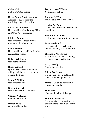Celeste West nON-NOTABLE author.

Krista White (matchmaker) Appears to fail to meet the notability criteria for authors.

Lowell Mick White Non-notable author lacking GHits and GNEWS of substance.

Michael Whiteacre Non-notable producer, writer, filmmaker, distributor, etc.

#### Lee Whitnum Non-notable, self-published author running for Senate.

Robert Wickman Non notable writer.

#### David Wilcock Spiritualism author with a bestselling book but no real mention outside the field.

Jason D. Wilkins Non-notable poet.

Greg Wilkovich Non notable author and poet.

Connie Williams non notable author.

Darren wills Non-notable "author". Wayne Loren Wilson Non notable author.

Douglas E. Winter non notable writer and lawyer.

Ashley A. Wood Comic book writer of questionable notability.

William A. Woodall Author doesn't appear to be notable.

Sean woodward As a writer, he seems to have limited and only local notability.

Thomas E. Woodward Author of two books promoting pseudoscience (creationism).

Larry Woody Non-notable writer.

Eileen Workman Writer with 1 book, published by almost unknown publisher.

Michael Orlando Yaccarino Non-notable author.

Sima Yari Nonnotable selfpublished poet.

Shmuel Yerushalmi NN unpublished "protest poet", casually mentioned in one news story.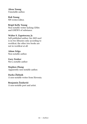Alexa Young Unnotable author.

Rob Young NN writer/editor.

Brigit Kelly Young Non-notable writer lacking GHits and GNEWS of substance.

#### Walter S. Zapotoczny Jr. Self-published author: his 2009 noel is in two libraries only according to worldcat; the other two books are not in worldcat at all.

Adam Zelga Non-notable author.

Gary Zenker Not a notable author

# Stephen Zhang Apparently non-notable author.

Darko Žlebnik A non-notable writer from Slovenia.

Benjamin Žnidaršič A non-notable poet and artist.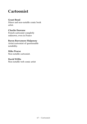# Cartoonist

# Grant Bond

Minor and non-notable comic book artist.

# Charlie Darenne

French cartoonist completly unknown, even in France

# Baron Barrymore Halpenny

Artist/cartoonist of questionable notability.

#### Mike Pearse Non-notable cartoonist.

David Willis Non-notable web comic artist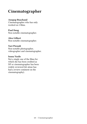# Cinematographer

# Anupap Buachand

Cinematographer who has only worked on 2 films.

# Paul Deng

Non-notable cinematographer.

# Alex Gilbert

Non-notable cinematographer.

# Yuri Pirondi

Non-notable photographer, videographer and cinematographer.

#### Ioana Vasile

Not a single one of the films for which she has been credited as DP or cinematographer has been widely reviewed (let alone has had a review comment on the cinematography).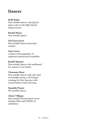# Dancer

#### Kelli Baker

Non-notable dancer, only played minor roles in the High School Musical series.

# Rachel Howe

Non-notable dancer.

#### Zin kyaw kyaw

Non-notable dancer/university student.

#### Yana Lewis

A dancer/choreographer of unknown/unreferenced notability

#### Kashif Memon

Non-notable dancer who auditioned for America's Got Talent.

#### Charonne Mose

Non-notable dancer with only lead of notability being a 1995 Emmy winning for Miss America with several Books results showing.

# Danielle Peazer

Not notable dancer.

#### Alexis Villegas

Non-notable backup dancer/actor lacking GHits and GNEWS of susbstance.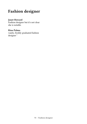# Fashion designer

# Janet Howard

Fashion designer but it's not clear she is notable.

# Rina Palma

vanity, freshly graduated fashion designer`'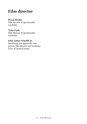# Film director

# Bryan Binder

Film director of questionable notability.

# Tyler Funk

Film director of questionable notability.

# John Luther Schofill, Jr.

Interesting but apparently nonperson, film director and academic, lover of classical music.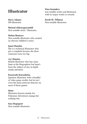# **Illustrator**

Steve Adams

NN illustrator.

# Shinod Akkaraparambil

Non-notable artist / illustrator.

# Malou Bonicos

Non-notable illustrator who created an obscure children's series.

# Janet Hamlin

She is a technical illustrator who got a complain because she drew someones nose too big.

# A.J. Hateley

British illustrator who has some fame in the blogosphere but hasn't been the subject of any in-depth media attention.

# Kazuyuki Kurashima

Japanese illustrator with a handful of video game credits, but he isn't even the main artist/art director on most of those games.

# Mato

Illustrator known mainly for Pokemon Adventures manga but nothing else.

# Sara Rapoport

Non-notable illustrator.

Zina Saunders non notable writer and illustrator, with no major works or awards.

Sarah M. Tillman Non-notable illustrator.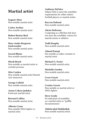# Martial artist

Isagani Abon Non-notable martial artist

Carlos Aveline Non-notable martial artist

Robert Brutus Beal Non notable martial artist.

Marc-Andre Bergeron (taekwondo) Non-notable martial artist.

Gerard Blaize Non notable martial artist.

Micah Brock Non-notable as martial artist or youtube persona.

Otto Cardew Non notable martial artist/Martial Arts instructor.

George Cofield Non notable martial artist.

Aaron Cohen (judoka) Irrelevant martial artist.

Bernard Collins Non-notable martial artist.

Alberto Crane Non-notable MMA fighter or martial artist.

Anthony DeFalco Subject fails to meet the notability requirements for either indoor football players or martial artists.

Keyvan Dehnad Non-notable martial artist.

Alexis Dufresne Competing as a BJJ blue belt does not meet the notability criteria for martial artists or athletes.

Todd Dunphy Non-notable martial artist.

Ahmed Ennaji Not notable as either scientist or martial artist.

Michael G. Foster Non-notable martial artist.

Michelle Gordon Non-notable martial artist.

Cesar Gracie Non-notable martial artist.

Crosley Gracie Non-notable as martial artist or MMA fighter.

Steve Grody No indication of notability as a martial artist or "graffiti documentarian".

Abdelwahid Habibullah Non-notable martial artists.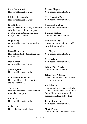Petar Jevremovic Non-notable martial artist.

Michael hairston jr Non-notable martial artist.

# Kim Kahana

Doesn't seem to meet any notability criteria since he doesn't appear notable as an entertainer, military man, or martial artist.

# Ik Jo Kang

Non-notable martial artist with a dojo.

# Ryan Kilmartin

Non notable basketball player and martial artist.

Den Klyuev Non-notable martial artist.

Jack Krystek Non-notable martial artist.

Ronald Gan Ledesma Non-notable as either a martial artists or director.

Terry Lim Non-notable martial artist lacking non-trivial support.

Pavel Los Non-notable martial artist.

Robert Lovi Non notable martial artist. Renato Magno Non-notable martial artist.

Neil Owen McEvoy Non-notable martial artist.

Raymond Mkhize Non-notable martial artist.

Damian Mohler Non notable martial artist.

Paul Mormando Non-notable martial artist (self awarded high rank).

Avi Moyal Non-notable martial artist.

Greg Nelson Non-notable martial artist.

Felipe "Zicró" Neto Non-notable martial artist

Johnny Tri Nguyen Lacks notability as either a martial artist or stuntman.

Joe Palanzo A non notable martial artist who is just as unnotable as Worldwide Kenpo Karate Association the organisation founded by him.

Jerry Piddington Non-notable martial artist.

Marif Piraev Non-notable mixed martial artist.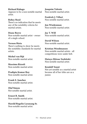# Richard Rabago

Appears to be a non-notable martial artist.

# Robey Reed

There's no indication that he meets any of the notability criteria for martial artists.

# Diane Reeve

Non-notable martial artist - owner of a single school.

# Vernon Rieta

There's nothing to show he meets the notability standards for martial artists.

Michel van Rijt Non-notable martial artist.

Massimo Rizzoli Non-notable martial artist.

Pradipta Kumar Roy Non-notable martial artist.

Frank E. Sanchez Non-notable martial artist.

Olaf Simon Not notable martial artist.

Ernest R. Smith Non-notable martial artist.

Harold Rogelio Laranang Sr. Non-notable martial artist.

Joaquim Valente Non-notable martial artist.

Fredrick J. Villari Non notable martial artist.

Jon Wiedenman Non-notable martial artist.

Jay T. Will Non-notable martial artist.

David Wilson Non-notable martial artist.

# Kristian Woodmansee

Non-notable martial artists - all competitions were under belt.

Hataya Mitsuo Yoshitoki Non-notable martial artist.

# Kendall Yount

Not yet notable as a martial artist because all of her titles are as a junior.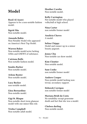# Model

Rosil Al Azawi Appears to be a non-notable fashion model.

Sigrid Åhs Non-notable model.

Amanda Babin Non-Notable Model who appeared on America's Next Top Model.

# Warren Baker

Non-notable model/actor lacking GHits and GNEWS of substance.

Catriona Balfe Non-notable fashion model.

Sondra Barker Non-notable model.

Arlene Baxter Non-notable model.

Lucy Becker non-notable model.

Lhea Bernardino Non-notable model.

Gigi St. Blaque Non-notable short-term glamour model with one minor film role.

Trisha Campbell Non-notable adult model. Heather Carolin Non-notable model.

Kelly Carrington Not notable model who played volleyball at high school.

Nina Carter non notable former model

Analicia Chaves A model.

Selina Chippy Model and runner-up in a minor beauty pageant.

Jenny Chu Non-notable car show model.

Kim Cloutier Non notable model.

Sam Cooke non notable former model

Andrew Cooper Non-notable model lacking nontrivial, secondary support.

Deborah Corrigan non notable former model

Mariana Bridi da Costa No notability except gruesome death and fact that she was a model.

Chelsea darling Non-notable model.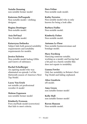Natalie Denning non notable former model

Katerena DePasquale Non-notable model / clothing designer.

Regina Deutinger Non-notable model.

Asia DeVinyl Non Notable model.

## Katarzyna Dolinska

Subject fails both general notability requirements and notability requirements for models.

# Jessica Dykstra

Non-notable model lackng GHits and Gnews of substance.

# Rachel Echelberger

An aspiring model who was eliminated on episode 3 of the thirteenth season of America's Next Top Model.

# Lacey Von Erich

not notable yet professional wrestler & model

Malene Espensen non notable former model

Kimberly Evenson Porn starNude model (correction) that fails to meet criteria.

Dors Feline Non-notable nude model.

Kathy Ferreiro Non notable model who is only known for being a look alike

Barbara Fialho Non-notable model.

Kimberly Fisher Non-notable model.

## Autumn Le Fleur Non-notable businesswoman and bondage model.

## Mary Forsberg Marrying someone notable, working as a model, and having had a bit part in a barely notable film does not equate to notability.

## Lianna Fowler

Only her notability in Britain's Next Top Model and failing orphaned.

Alice Goodwin nN model.

Amy Green non notable former model

Kelly Hall non notable former model

Raven Hanson Non-notable model.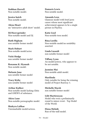Siobhan Harrell Non-notable model.

Jessica hatch Non notable model.

Alexa Heart nn "interactive adult show" model.

DJ Heavygrinder Non-notable model and DJ.

Ruth Higham non notable former model

Mark Hobart Non-notable model/actor.

Vicki Hodge non notable former model

Roxanne K. Hyunah Non notable model.

Melanie Jane non notable former model

Tracy Kirby non notable former model

Arthur Kulkov Non-notable model lacking Ghtis and GNEWS of substance.

Akira Lane Non-notable pornographic model.

Shakyra LaShae Unremarkable model/actress. Damaris Lewis Non notable model.

Amanda Lexx Glamour model with brief porn career whose most significant achievement appears to be a single picture in Playboy.

Katie Lisel Non-notable teen model.

Rina Lorilla Non-notable model/no notability asserted.

Linda Lusardi non notable former model

Tiffany Lynn An model/actress, who appears to be not notable.

Jasmine Mai Non-notable adult model.

Marilinda Only notable for being the winning model of Project Runway 3.

Michelle Marsh non notable former model

Lilit Martirosyan Model who won a preliminarily round to minor event - Top Model of the World.

Elena Melnik Run-of-the-mill model.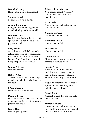Daniel Miagany Nonnotable male fashion model

Suzanne Mizzi non notable former model

# Alexandra Moore

Being an Internet nude/glamour model with big tits is not notable.

# Daniella Morris

Daniella Morris (born July 25, 1989) appears to be a non-notable teen pageant model.

# Isley nicole

According to her IMDB credits her roles mainly consist of names along the lines of: Beautiful Babe, Maid, Fantasy Girl, Friend, and repeatedly being Trophy Model for BET.

# Sandra Nilsson

Non-notable model.

# Robert Niter

A recent winner of championship, a model, a bodybuilder who is not in the news.

# L'Wren Nycole

Not notable fashion model.

## Diana O'Brien

Does not seem to have been notable as a model, or for any other reason, prior to her death.

# Kay O'Hara

Modern pin-up model.

## Princess kelechi oghene

Non-notable model, "socialite", and "ambassador" for a drug manufacturer.

## Taya Parker

Non-notable model had some nonoutstanding jobs.

## Natasha Pestano

non notable model/actress.

# Dominique Piek

Non notable model.

#### Tori Praver Non notable model.

# Naomi Preizler

Minor model - mostly just a couple seasons of runway work.

## Sophie Price

Apparently one-time glamour model whose primary clame to fame is being the sister of Katie Price, but notability is not inherited.

# Dagus and Rockwood Railroad

Appears to be an entirely nonnotable model railroad.

## Sonali Raut

A model/actress that basically falls under too soon.

## Maripily Rivera

Non-notable model from Puerto Rico, best known for being married to baseball star Roberto Alomar.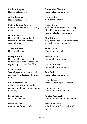Michele Rogers Non-notable model.

Anka Romensky Non-notable model.

Milena Leticia Roucka nn model/independent wrestling manager.

## Dean Rowland

Non-notable, apparently a former fashion model now hoping to establish a blog.

Adam Sabbagh Non-notable model.

#### Garry Sahota

Non-notable model with a few minor roles in music videos and supporting roles in a few films.

#### Laura Scaife

Second place getter in the reality program New Zealand's Next Top Model.

#### Eric Ahlqvist Scott

Co-founder of a non-notable company and model of no apparent notability.

Sarah Seewar Non notable model.

Maria Sheriff non notable former model Charmaine Sinclair non notable former model

Ananya Soni Non-notable model.

Elvira Stehr A finalist in Philippines' Next Top Model hasn't won and does not meet notability requirements.

# Eboni Stocks

only notable for her involvement in Australia's Next Top Model.

Skye Stracke Non-notable model.

Lindsey Strutt non notable former model

Cassie Sumner non notable former model

Peta Todd non notable former model

Aimi Tomori Some random Japanese model.

Abigail Toyne Non-notable erotic model.

Ashley Ann Vickers Another model trying to be notable.

Hana Vitvarova A fairly nonnotable Czech adult model.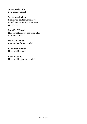Annemarie vola non-notable model.

# Sarah Vonderhaar

Eliminated contestant on Top Model, and currently at a career crossroads.

# Jennifer Walcott

Non-notable model has done a lot of minor works.

Madison Welch non notable former model

Giulliana Weston Non-notable model.

Kate Winton Non-notable glamour model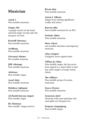# Musician

Anish 1 Non-notable musician.

Ginger 102

A google search on the band and lead singer reveals only the myspace account.

Kristoff Abrenica Non-notable musician.

Acidburp Non-notable musician

Giovanni Adamo Not notable musician

JME Adenuga Non-notable musician.

Adriiana Non-notable singer.

Assaf Adry Non-notable musician.

Mahdyar Aghajani Non-notable musician.

AJ (South Korean singer) Non-notable singer.

Ife Akintayo Non-notable "singer/actress". Bryan alan Non-notable musician.

Aaron J. Albano Singer/actor lacking significant credits and notice.

Razvan albu Non-notable musician by an SPA.

Nichole Alden Non-notable musician.

Mary Alessi non notable christian contemporary musician.

Aliya (singer) Unsigned, never-signed artist

Tiffany Jo Allen Non-notable singer, she has never been signed to a major label or had any chart singles on major music charts.

The AllStars Non-notable group of session musicians.

Zayra Alvarez Non-notable musician.

Generous alzir! Musician with some playtime, but most ghits are Myspace/etc.

Siriporn Ampaipong Non-notable singer.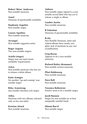Robert 'Skins' Anderson Non-notable musician.

Aneel Musician of questionable notability.

Stephanie Angelini Non-notable singer.

Lauren Aquilina Non-notable musician.

Arcangel Non-notable reggaeton artist.

Roger Argenis Two non-notable singers.

Arielle (singer) Singer may not meet music notability requirements.

## Arlyn Non-notable musician who has yet to release a debut album.

Katie Armiger Yet another "up-and-coming" nonnotable singer.

Riley Armstrong non notable christian rock singer.

Atllas Musician with two albums, released only on his own label.

Kristian Attard Non-notable musician. Auburn

Non-notable singer signed to a nonnotable record label who has yet to release a single or album.

Landon Austin Non-notable musician.

B-Valentine Musician of questionable notability.

# B.rite

Non Notable Musician, artist and related albums have nearly zero ghits, lack of mentions in any sort of publication.

Greg Bacon Appears to be a non-notable musician.

Richard Bailey (drummer) Non-notable session musician.

Pfuri Baldenweg Non-notable musician.

Dave Ball Non-notable musician.

Veronica Ballestrini Doesn't seem to be a notable singer.

Jacob Bannon Singer for non-notable (or at best, marginally notable) band.

Shlomi Bar'el Non-notable singer.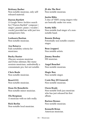# Brittany Barber Non-notable musician, only self-

released material.

# Darren Bartlett

A Google News Archive search for ["Darren Bartlett" composer | singer | pianist | piano | vocalist | vocals] provided me with just two unimpressive hits.

Loshaarn Bastian Non-notable musician.

Aza Bataeva Fails notability criteria for musicians.

Bucky Baxter Obscure sessions musician and Dylan sideman; like many sessions musicians, undoubtedly a consummate pro, but not notable.

Chris Beale Non-notable musician.

Beast1333 Non-notable musician.

Dean De Benedictis Non-notable minor musician.

Ola Bergman A musician with no info really.

Rick Berlin Non-notable local musician. JS aka The Best Non-notable musician.

Justin Bibis A duo of VERY young singers who are basically under too soon.

# Scotty bills

Non-notable lead singer of a nonnotable band.

# Bonnie Bishop

Potentially non-notable country singer.

Boac (rapper) Non notable artists.

Jimmy Bondoc NN musician.

Angel Bouchet Non-notable musician.

Magic Box Non-notable singer.

Coste Boy (El General) Non-notable musician.

Owen Brady Non-notable Irish jazz musician who has just released his first album.

Bartosz Brenes Non-notable musician.

Kenneth Brian American musician.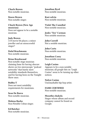Charls Brown Non-notable musician.

Stacee Brown Non-notable singer.

Chuck Brown (New Age musician) Does not appear to be a notable musician.

Judy Brown A B-movie bit player, a minor jeweller and an unsuccessful singer?

Dalal Bruchmann Non notable musician.

Brian Brushwood

Non-notable stage musician claiming fame for having obscure shows on two microscopic "podcast networks" that barely meet notability standards themselves, and for having been on the Tonight Show once.

Bubba-T Does not meet notability requirements for musicians.

Sean De Burca Non-notable musician.

Malena Burke Non-Notable Cuban singer.

Ed Butcher Non-notable musician. Jonathan Byrd Non-notable musician.

Kasi calvin Non-notable musician.

Violet The Cannibal Non-notable musician.

Jenks "Tex" Carman Non notable musician.

John Carroll Not a notable musician.

John Carta Non-notable musician.

Jonathan Casey Non-notable musician.

Leigh Casino Appears to be a non-notable musician; all google hits on "Leigh Casino" seem to be turning up other notices.

Nolyn Casino Unremarkable hip-hop artist.

FAME CERTIFIED Non-notable musician.

Mosotho chakela Singer whose album and record company cannot be found on Google.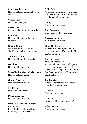Eric Chamberlain Non-notable musician and graphic artist.

Charmaine Non notable singer.

Loren Chasse fails musician notability criteria

Chemda Non-notable podcast host and musician.

Gorilla Chilla Open and shut case of nonsignificant small scale musician.

Valentine Chin Non-notable session musician.

Oz Chiri Non-notable musician

Jonas Raskolnikov Christiansen Non-notable musician.

Gianni Cicogna Non-notable musician.

Jay D Clark Non notable musician.

David Clement Non-notable musician.

# Michael Cleveland (bluegrass musician)

Possibly the artist doesn't meet notability for a musician.

Ollie Cole Apparently non-notable musician, who was a member of band which briefly had minor success.

Compa Non-notable musician.

Dan Connolly Dubious notability musician.

Ross copperman Non-notable musician.

# Hona Costello No sign of notability: unsigned

artist, who only self-released 1 EP via the internet.

# Clayton Counts

Musician whose sole accomplishment seems to be getting a cease and desist from record labels for releasing a mashup album Sgt. Petsound's Lonely Hearts Club Band on his blog.

Jon Courtney Singer/songwriter in middlinglynotable alternative band.

**Criizter** Unnotable musician.

Crystin unremarkable singer/musician?

Alberto Ctllo Non-notable musician.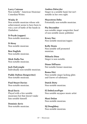Larry Cutrone Non-notable " American Musician/ Comedian/Writer.

# Winky D

Non notable musician whose sole achievement seems to have been to win a sort of battle of the bands in Zimbabwe.

D-Pryde (rapper) Non-notable musician...

D-Stroy Non notable musician

Ben Daglish Non-notable musician.

Mick Dalla-Vee Non-notable musician.

Jack Dalrymple Individually non-notable musician.

Paddy Dalton (Songwriter) Non-notable musician.

Paul Stuart Davies Non-notable musician.

Brad Davis Played with a few notable musicians but that doesn't make him notable himself.

Dominic davis Non-notable musician. Andrea Dätwyler Singer in a notable band, but isn't notable in her own right.

Mayestron Deba Potentially non-notable musician.

#### Pia December

non notable singer songwriter, head of non notable music publisher

Krazy Dee Non-notable musician/rapper.

Kelly Denis Non notable self promoted musician.

Mihaela Dinu Singer is non-notable.

Diane DiPiazza Not notable former musician.

Boma Diri Non-notable singer lacking ghits and Gnews of substance.

Dutch Dirty Non-notable musician.

El DoboLocoPapo Non notable myspace music artist

Maxi Dolan Non-notable musician.

DJ Doughboy Non-notable musician.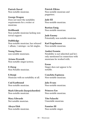Patrick Doval Non-notable musician.

George Dragon Does not meet the notability requirements for a writer or musician.

Drifthomb

Non-notable musician lacking nontrivial support.

# Dubbledge

Non-notable musician; has released 1 album, 1 mixtape—no hit singles.

Young Duece non notable musicians.

Ariana Dvornik Non-notable singer/actress.

E-Dawg Non Notable musician.

E.Stonji Musician with no notability at all.

Cud Eastbound Non-notable musician.

Mark Edwards (harpsichordist) Non-notable musician.

Mary Edwards Not notable musician.

Aksyn Elek Non-notable musician. Patrick Elkins Non-notable musician and puppeteer.

Jade Ell Non-notable musician.

Bastian Emig Non-notable musician.

Jude Enemy Potentially non-notable musician.

Karl Engelmann Non-notable musician.

Andrei Eremin Notability is not inherited and he's only mentioned in connection with musicians he worked with.

Erene Singer does not appear to be notable.

Conchita Espinosa Non-notable musician.

Jake Evans Non-notable musician.

Princess Eze Non-notable musician.

Tito Falaschi Unnotable musician.

Fannius III Non-notable singer.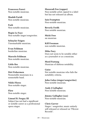Francesco Fareri Non-notable musician.

Shadab Faridi Non notable musician.

Fash Non-notable musician.

Regin Le Faye Non-notable singer/songwriter.

Schuyler Feigen Unremarkable musician.

Evan Feldman borderline musician.

Marcelo Feldman Non-notable musician.

Little fire Non-notable musician.

Dirt Fishermen Nonnotable musicians in a nonnotable band.

Nikki Flores Non-notable singer.

Flow Non-notable singer.

Limuel B. Forgey III Subject has not had a significant or notable career as a professional opera singer.

Mazaradi Fox (rapper) Non-notable artist; signed to a label but has not released an album.

Iain Frampton Non-notable musician.

Beverly Fre\$h Non notable musician.

Micki Free nn musician

Kill Freeman non notable musician.

Mike Fury Does not seem to be notable either as a journalist or as a musician.

Mord Fustang Musician of dubious notability.

Gaise Not notable musician who fails the notability criteria.

John Galea (singer/songwriter) Non-notable musician.

Andy J Gallagher Non-notable musician.

Jimmy Gallagher (sax) Non-notable musician.

Chris Garver Singer / songwriter, music entirely self-released or released on "Pilcrow Records".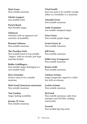Matt Gauss Non-notable musician.

Ghetto (rapper) non-notable artist

Parul Ghosh Non-Notable singer.

Gilanyan Musician with no apparent real assertion of notability.

Brianna Gilmore Non-notable musician.

The Paradiso Girls Non-notable band of non-notable "singers" with no records, just hype (and that feeble)

Bobby Goldfingers Non-notable singer belonging to a non-notable band.

Dave Gonzalez Doesn't seem to be a notable musician.

Matt Good (American musician) Non-notable musician.

Tim Gordon Singer lacking notability.

Jeremy W. Goss Non-notable musician. Chad Gould does not seem to be notable enough either as a footballer or a musician

Amanda Grace Non-notable musician.

Andy Grammer non notable unsigned singer

Gina Green Non-notable gospel singer

Grant Green, Jr. Non-notable musician.

Jeff Gretz Non-notable musician.

Eddie Grey (Composer) Non-notable musician.

Bruno Grife Non-notable musician.

Chelcee Grimes Singer/songwriter signed to a label but with no releases.

Larkin Grimm Non-notable musician.

DJ Grind Non-notable musician; radio host, mixtapes and YouTube, nothing noteworthy.

Grynch Non notable hip hop artist.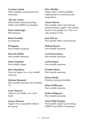Carmine Guida Fails notability requirements for musicians.

'The Joe' Gurba Non-notable musician lacking GHits and GNEWS of substance.

Peter Gutteridge NN musician.

Karol Gwóźdź nn musician

H-Eugene Non-notable musician.

Hossein Hadisi Non notable musician.

Simya hamdan Non-notable singer.

Steve Hamilton Does not appear to a very notable musician

Michael Hamnett Non-notable musician and academic (?).

Larry Hansen Artist is not notable, nor is the band.

Latoya Hanson Singer who is unnotable without her group.

Steve Hardin Subject fails to meet notability requirements for musicians and songwriters

Amina Harris

Non-notable artist, only had one semi-hit feature single so far (which doesn't even qualify as a "hit," as it only peaked at #41).

Jane Harvey Non-notable editor and musician.

Mekaal Hasan Non-notable musician.

Cyril Havermans Non-notable musician.

Calvin Hayes Non-notable musician

Frankie Hayze Non-notable musician.

Fenno Heath Musician lacking notability.

Kalyn Heffernan Non notable musician.

Joshua Helgason Non-notable musician.

Xuan Pablo Hergon Non-notable singer/actor lacking GNEWS and GHits of substance.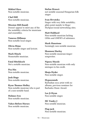Mikkel Hess Non-notable musician.

Chel Hill Non-notable musician.

Mission Hill (band) Doesn't appear to meet any of the the notability criteria for musicians and ensembles.

Vanessa Hillman Non-notable local singer.

Olivia Hime Non-notable singer and lyricist.

Mark Hinch Nonnotable musician.

Fatal Hitchkoch Not a notable musician.

Pea Hix Non-notable musician.

Josh Hoge Non-notable musician.

Ryan Thomas Holley Non-notable musician who is part of a non-notable band.

Holmes Ives Non-notable musician.

Vahco Before Horses Non notable musician.

Stefan Hruscă not notable seasonal Hungarian folk singer

Ivan Hrvatska Singer with very little notability; ghits point mainly to blogs/ MySpace/social networking sites.

Matt Hubbard Non-notable musician lacking GHits and GNEWS of substance.

Mark Hunstone Seemingly non-notable musician.

Shannon Hurley Non-notable musician/singersongwriter.

Nipsey Hussle Non-notable musician with only mixtapes to his credit.

Shuja Hyder Non-notable singer.

Hypasounds Barbadian soca artist with no albums, previous nominee for Barbados Music Award.

Lee Ji Hyun Non notable singer.

MC Funky J Non notable musician.

Flap jack Non-notable musician.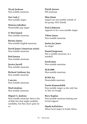Wyatt Jackson Non notable musician.

Our Lady J Non-notable singer.

Mateusz Jakubiec Nonnotable pop singer

G-Marl Jamal Non-notable musician.

Barney James Non-notable English musician.

David James (American artist) Non-notable musician.

Rod Janzen Non-notable musician.

Jessica Jarrell Non-notable musician.

Richard Anthony Jay Non notable musician.

I am jen Non-notable musician.

Mark Jenkins Non notable musician

Miguel A. Jenkins Non-notable musician: there's lots of little bits that might establish notability, but they don't quite do so.

Patrik Jensen NN musician.

Shin Jimin singers are not notable outside of his group, AOA (band).

Paul J Johnson Appears to be a non-notable singer.

Viktor Jonas Non-notable musician.

Justin Jay Jones nn singer

Daniel Jorgensen Not a notable musician, in a nutshell.

Sarah June Non-notable musician.

DJ K1000 Non-notable musician.

KUBA Ka Nonnotable musician.

Nastia Kamenskikh Non-notable singer as she only has 41 hits on Google.

Rory Kaplan Non-notable musician lacking nontrivial support.

Sijadu kaPotelwa Minor local singer in South Africa.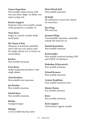# Tamar Kaprelian

Non-notable singer/actress with one non-chart single, no album, one minor acting role.

# Kastro (rapper)

Musician who is not notable outside of the group he's a member of.

# Vena Kava

Singer in a barely notable death metal band.

# My Name Is Kay

Musician of uncertain notability, who's had one very minor semihit single and has yet to release an actual album.

Kerfew Non-notable musician.

Even Kern Singer/songwriter/producer with single album.

Tom Kershaw Non-notable teen musician.

Joe Kessler Non notable musician.

Daniel Keys Non-notable musician.

Khalia Unsigned singer.

Khingz A non notable hip hop artist. Heart Break Kid Non-notable musician.

# DJ Kidd

No indication it meets the criteria for musicians.

#### Jess King NN musician.

#### Jeramie Kling

Unremarkable musician, unnotable outside the band he's in.

## Samuli Kosminen

Non-notable musician.

## Kottarashky

Non-notable musician lacking GHit and GNEW of substance.

# Slobodan M Kovačević

Non-notable musician.

# Erlend Krauser

Non-notable musician.

Armen Ksajikian Non-notable musician/actor

Jimmy Kunes non notable musician

Kwes Non-notable musician.

Kyle (rapper) Artist doesn't appear notable.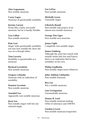Alex Lagemann Non notable musician.

Casey Lagos Musician of questionable notability.

Jeremy Larson Seems like a fairly successful musician, but he is hardly Notable.

Lisa LaRue Non notable musician.

#### Kim Last

Singer with questionable notability, not sure how notable the show she was on is though either.

Tom Laverty Notability is questionable as a musician.

Richard Laviolette Non-notable musician.

Gregory Lebaube Musician with no indication of notability.

Damien Lecointe Non-notable musician.

Annabel Lee Apparently non-notable musician.

Jesse Lee Non-notable singer with but one released single.

Leo LeVox Non-notable musician.

Michelle Lewis Unnotable singer.

Lifestyle (band) Non-notable side project of an almost non-notable musician.

George Von Liger Non-notable new musician.

James Light Completely non-notable singer.

#### James Limborg

Although the artist has toured with notable artists (the Jets and Prince) there is no indication that he has notability on his own.

Philip Lindholm Non-notable singer/actor/whatever.

#### John Adidam Littlejohn Non notable Musician.

Rex Liu Not a notable musician.

Luis Livingstone Unremarkable musician.

Donny B. Lord Non-notable musician lacking GHits of substance and GNEWS.

Gordon J Lovie Non-notable musician/songwriter.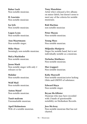Babar Luck Non-notable musician.

IL Lusciato Non notable musician

Ise lyfe Non notable musician.

Logan Lynn Non-notable musician.

Ann Maartmann Non-notable singer.

Mike Maas Seemingly non-notable musician.

MeLa Machinko Non notable musician.

Jason Maek Non notable singer with only 2 releases so far

Mahdar Non-notable musician.

Wolf Mail Non-notable musician.

Anton Maiof Non-notable musician.

Tunit malcom Unremarkable musician.

April Malmsteen Wife of a notable musician. Tony Manshino Artist who's released a few albums on minor labels, but doesn't seem to meet any of the criteria for notable musicians.

Rob Martino non notable musician

Peter Mason Non-notable musician.

Young Mass Non notable musician.

Miljenko Matijevic Singer for notable band, but is not individually notable as a musician.

Nicholas Matthews Non-notable musician.

Mav (rapper) Non notable musician.

Koby Maxwell Non-notable musician/actor lacking Ghits and GNEWS of substance.

Edward Maya Non-notable singer.

Bryan McAllister Musician who may have recorded with 2 bands of questionable notability on Mediaskare Records.

Jess McAvoy Non-notable musician that has not charted.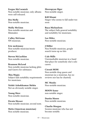Fergus McCormick Non-notable musician; only albums were self-released.

Dre Mcfly Non-notable musician.

Molly McGinn Non-notable musician and filmmaker.

Calley McGrane NN musician.

Eric mckinney Non-notable musician/music producer.

Steven McLachlan Non-notable musician.

Brannon McLeod Non-notable musician lacking ghits and Gnews for substance.

Thia Megia Subject fails notability requirements for musicians.

Nishit Ashokkumar Mehta Not an obviously notable singer.

Young Merc Non-notable musician.

Dwain Messer Non-notable musician; second nom.

Metis (American musician) Non notable musician.

Mesropyan Mger Non-notable singer.

Kill Miami Singer who seems to fall under too soon

Baya Michaelson The subject fails general notability and notability for musicians.

Lee Miles Non-notable musician.

J Miller Non Notable musician, google search turns up no hits

Cale Mills Unremarkable musician in a band that plays for somebody else's solo career.

Circuit MOM Non-notable drag queen and musician (as a musician, has no reviews nor has he charted).

MC Mooks Non-notable musician.

MOON-kananon-notable singer.

Dustin Moore Non-notable musician.

Charlie Morgan Session musician who has not become notable.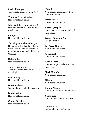Rashad Morgan Thoroughly nonnotable singer`'

Timothy Gene Morrison Non-notable musician.

John Mott (rhythm guitarist) Non-notable musician in a nonnotable band

MowJoe Non-notable musician.

# Shiladitya Mukhopadhyaya

No ounce of third party notability other than the fact that married to an Indian singer called Shreya Ghoshal.

Kai mullins Non-notable musician...

Thiago Live Music A musician that has only released one single.

Nate musiq Non-notable musician.

Omer Nadeem Seemingly non-notable musician.

Imtiaz najim Non-notable musician.

Connie Nassios Non-notable musician. Nayrok Non-notable musician with no albums released.

Hafez Nazeri Non-notable musician.

Nerone (rapper) Appears to not meet notability for musicians.

Warner Newman(Singer) Unsigned artist.

Le-Tuyen Nguyen Non-notable musician.

Alex Niedt Non-notable musician.

Ryah Nikole Does not appear to be a notable musician.

Mark Nilan Jr. Non-notable musician.

Lil nims Non-notable musician.

Damon Noone Non-notable singer and politician.

Nosajthing Not a notable electronic music artist.

Gabi Novak non notable person/ singer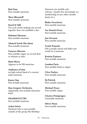Beit Nun Non-notable musician.

Theo Obrastoff Non-notable musician.

Sissel & Odd Two solo artists making one record together does not establish a duo

Mehmet Okonsar Non-notable musician.

Ahmed Tarek Ola-abaza Non-notable musician.

Vanessa Oliveira Non-notable singer, no record deal or releases to date.

Matt Oliver Appears to be NN musician.

Audience of One nn high school band of a current indie musician.

Know One Non notable musician.

Dan Gregory Orchestra Apparently non-notable musician/ band.

**OSAMDEVETTRI** Non-notable musician.

Aslan Osiris Musician who is non-notable outside of the group The Birthday Massacre (no notable solo releases—mostly free downloads, no membership in any other notable band, etc.).

Blake Overstreet Non-notable musician.

Lee Daniel Owen Non-notable musician.

Jan Ozveren Non notable musician.

Yvette Paaoski Did a google search and didn't get result on a musician.

Kestrin Pantera Non-notable musician.

London Paris Non notable band or singer.

Clive Parker Non-notable musician.

Dj Patrick Non-notable musician.

Michael Peace Non notable singer.

Charice Pempengco Unnotable musician.

Oliver Penn Non-notable musician.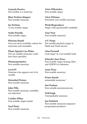Gonçalo Pereira Not notable as a musician.

Blair Perkins (Singer) Non-notable musician.

Joe Perkins A non-notable singer.

Nadia Petrella Non-notable singer.

Phenom (band) Does not meet notability criteria for musicians and ensembles

Phạm Nguyễn Lan Phiên Not-yet notable musician; could have been speedied.

Phutureprimitive Non-notable musician.

Level Pi Musician who appears not to be notable.

Disturbed Picture Non-notable musician.

John Pilla Non notable musician, notability not inherited.

Candice Pillay Non-notable singer/model.

Neal Pinto Non-notable musician. Artas Pitkauskas Non-notable singer.

Chris Pittman Extremely non notable musician.

PkoloTheproducer Singer with questionable notability

Tone Poet Non-notable musician.

A.V. Pooja Not notable playback singer in Hindi and Tamil movies.

Alan Pownall Lead singer of a not notable band.

Schuyler Iona Press Non-notable singer lacking Ghtis and GNEWS of substance.

Anne Price Non-notable musician

Prints (band) nonnotable musicians`'

Not Profane Non-notable musician/person.

Will Pugh Unremarkable musician.

Jan Pulsford Non notable musician/composer/ programmer/producer.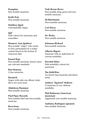Pumpkin Non notable musician.

Keith Pyle Non-notable musician.

Matthew Quek Unremarkable singer.

# Quf

Fails criteria for musicians and ensembles.

# Shameer Aziz Quidwai

Non notable "singer" who seems to have participated in a reality contest based on the format of American Idol.

# Kamal Raja

Non-notable musician, doesn't meet any relevant standards.

Bart Ramsey A Jazz musician.

# Rasmich

Singer with only one album, looks like a too soon issue.

Abdolreza Razmjoo Non-notable musician.

Pied Piper Records Non-notable label and non-notable musician

Recyclone Non-notable musician. Veda Beaux Reves Non-notable drag queen and nonnotable musician.

DJ Rhettmatic Non noatable musician.

Carl Ricco Non-notable musician.

Ne' Richa Non notable musician.

Solomon Richard Non-notable musician.

Alberto Rigoni Musician with no indication of current notability.

Devonté Riley Fails notability criteria for musicians

The Kidd Rizz An electro hop musician and dance artist.

Andrew "Squirrel" Roberts A musician of very dubious notability.

Phil Robinson (American musician) Apparently non-notable musician.

Anthony Rodriguez (pianist) Non notable Musician.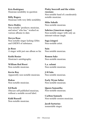Kris Rodriguez Musician notability in question

Billy Rogers Musician with very little notability.

Steve Rokks Non-notable "producer, musician, and mixer" who has " worked on various albums to-date.

Devyn Rose

Non-notable singer lacking GHits and GNEWS of substance.

Jo Rose A singer with just one album so far.

Keith Rosier Musician's autobigraphy.

William Red Rossi Non-notable musician.

Kevin Roy Apparently non-notable musician.

Rukas Non-notable musician.

Ed Rush Obscure self-published musician, without a notable record label.

Kidd Russell Non-notable musician. Pinky beecroft and the white russians Non notable band of a moderately notable musician.

Mike Sabath Non-notable musician.

#### Sabrina (American singer)

Non-notable singer with only an internet-release single.

Saga (singer) Non-notable artist.

Sain Non notable musician.

Remon Sakr Non-notable musician.

L.a. salami Non-notable musician.

J-M Salo Non notable musician.

Early Wynn Salter Non-notable musician.

Queen Samantha Non-notable musician.

Carlton Samuels Non-notable session musician.

Jacob Sartorius nonnotable singer.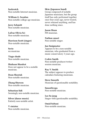Saskrotch Non-notable Internet musician.

William G. Scanlon Non-notable college age musician.

Jerry Schmitt Non-notable musician.

Lafrae Olivia Sci Non-notable musician.

Harrison Scott (singer) Non-notable musician.

Serio nn musician

Tiago shade Non-notable musician.

Shahaan Shaukat Does not appear to be a notable musician.

Dean Shostak Non-notable musician.

Zhang Shuwen Non-notable musician.

Sebastian Sidi Seemingly non-notable musician.

Silver (dance music) Entirely non-notable artist.

V sinizter Non-notable musician. Skin (Japanese band) Group composed of notable Japanese musicians, but the group itself has only performed together once four years ago, never toured, never released anything, and has done nothing since.

Jason Sloan NN musician.

Nathan smart Non notable singer.

Jan Smigmator Appears to be a non-notable musician, who graduated from a music conservatory 3 years ago.

Cedric Smith Non-notable producer/writer/ session musician.

Ray V. Smith The subject appears to produce calendars featuring musicians.

Steve Smooth Musician of questionable notability.

Smoothvega Non-notable musician.

Lee So-jung Singer with questionable notability.

Omid Soltani Non-notable musician.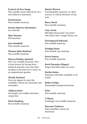Festival of New Songs Non-notable music festival for new and unknown musicians.

Sozmusician Non-notable musician.

Jeremy Spencer (drummer) nn musician.

Moe! Staiano NN musician.

Jana Stanfield Non-notable musician.

Thomas John Stanford Non-notable musician.

# Marcus Stanley (pianist)

Not-very-notable musician, who is best known for having been attacked and shot; now uses that incident as the basis for a career as an inspirational speaker.

## Wendy Starland

Does not appear to meet the notability criteria for musicians and ensembles.

Addison Steel Seemingly not notable musician/ songwriter.

Mark Stenberg Non-notable musician. Jimmy Stevens Unremarkable musician, no chart success or critical attention of any note.

Barry Stock Non-notable musician.

Clay strom NN high school aged "rap artist" who hasn't had a single release yet.

Decomposed Subsonic Non notable musician

Prodigal Sunn Non-notable rap musician.

Kevin Sunray Non-notable musician.

Karel Susanteo (Singer) Singer that falls under too soon

Merlin Sutter Musician with little notability to be found.

Robert Svilpa Nonnotable unsigned musician.

Syler Non notable musician.

T-Shyne Seemingly non-notable musician.

Maryam Tashaeva Fails notability criteria for musicians.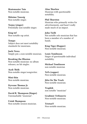Skatemaster Tate Non-notable musician.

Shloime Taussig Non-notable singer.

Teejay (singer) Potentially non-notable singer.

King tef Non-notable rap artist.

Tempo Subject does not meet notability standards for musicians.

Juelz Terea Simply put, a non-notable musician.

Breaking the Illusion Non-notable musician: no album releases, no hit singles.

Ayak Thiik Non-notable singer/songwriter.

Mini thin Non notable musician.

Dywane Thomas Jr. Non-notable musician.

David R. Thompson (Singer) Unremarkable "musician".

Uziah Thompson Non-notable session musician. Alan Thurlow Musician with questionable notability.

Phil Thurston Musician who primarily writes for advertisements, and hasn't really made much of an impact.

# John Tielli

Not notable solo musician that has been a member of a number of bands.

King Tiger (Rapper) Non-notable musician.

#### Louis Tomlinson

Singer of questionable individual notability.

Michael Tomlinson non notable musician

ToTs (rapper) Non-notable musician.

Jitta On The Track Non-notable musician.

Traphik non notable "musician"

Gradimir Trifunovic Non-notable musician.

TristanV Non-notable musician.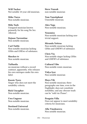Will Tucker Not notable 18-year-old musician.

Mike Turco Non-notable musician.

Milo Turk Unsigned musician known primarily for his song No Sex Allowed.

Dejuan Turrentine Non notable musician.

Carl Tuttle Non-notable musician lacking GHits and GNEws of substance.

Shocker tv Non notable musician.

# TxHustla

nn musician without a record contract, apparently, who releases his own mixtapes under his own label.

Kassie Tyers Singer who does not meet the notability criteria.

Rick Uncapher Non-notable musician.

Uwe Ungerer Non-notable musician.

Destined Universal Non-notable musician. Steve Vansak non-notable musician

Tom Vanstiphout Unnotable musician.

Alex Vega Non-notable musician.

Venomiss Non-notable musician lacking nontrivial support.

Miranda Vettrus Non-notable musician lacking GHits and GNEWS of substance.

Chris Via Non-notable singer lacking GHits and GNEWS of substance.

Cultural Vibe Non-notable remix musician.

Vidya Iyer Non notable musician

Maya Vik Non-notable musician; three paragraphs one time, even in the Dagbladet, does not constitute notability; and any obscure trash can be "sold via iTunes".

Penguin Villa Does not appear to meet notability criteria for musicians.

Alla Vinokurova Non notable musician.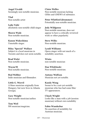Angel Vivaldi Seemingly non-notable musician.

Vlad Non-notable artist

Lejla Vulić absolutely non-notable child singer

Shawn Wade Non-notable musician.

Kanon Wakeshima Unnotable singer.

Riley "Special" Wallace Subject is a local musician in Toronto and does not seem notable.

Brad Walst Non-notable musician.

Wayne'M Non-notable musician.

Rod Webber Indie musician and filmmaker.

Little G. Weevil A blues musician originally from Hungary, but now lives in Atlanta Georgia.

Gary Weight Non-notable musician/author.

Tom Weil NN musician/magician. Claire Welles Non-notable musician lacking GHits and GNEWS of substance.

Peter Whitford (drummer) Potentially non-notable musician.

# Jody Wildgoose

Non-notable musician, does not appear to have a critically reviewed work or other popularity.

Steve Wilks Non-notable musician.

# Lyndi Williams Opera singer with not much of a notability assertion.

Winta non-notable musician

Dan Wleklinski Non-notable musician.

Antony Wolfson Musician not yet notable.

Kandy Wong Seems to be a not-yet-notable musician who has had some film/ TV appearances.

Chuck Wright Looks like a man with a job (session musician) without own notability

Fabio Wunderbar No assertion of notability for Austrian musician.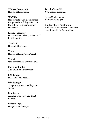X Blake Freeman X Non-notable musician.

# XECFCx

Non-notable band, doesn't meet the general notability criteria or the criteria for musicians and ensembles.

# Kaveh Yaghmaei

Non notable musician, not covered by third parties.

YahZarah Non-notable singer.

Yaviah Non-notable reggaeton "artist".

Yendri Non-notable person (musician).

Maria Yiakoulis Artist with no discography.

E.G. Young Non notable musician.

Heo Youngji The person is not notable yet as a singer.

Eric Zaccar A minor local playwright and musician.

Unique Zayas Not yet notable singer Zdenko Ivanušić Non-notable musician.

### Asem Zhaketayeva

Non notable singer.

# Robbie Zhang-Smitheram

Subject does not appear to meet the notability criteria for musicians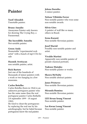# Painter

Yusif Alizadeh Unnotable painter.

#### Bruno Amadio

Anonymus Painter only known for drawing The Crying Boy, a Paranormal.

The Incredible Amoeba Not-notable painter.

#### Green Andy

Nonnotable "experimental rock artist" with a bunch of mp3 CDs for sale

Hasmik Avetisyan

non notable painter, artist.

#### Rick Bartow

Just one of the hundreds of thousands of minor painters with a work or two hanging in a few museums.

# Carlos Botelho

Carlos Botelho (born in 1964) is an unknown portuguese painter who has the same name than the real portuguese painter Carlos Bothello (18 september 1899 - 18 august 1982).

He tried to cheat the portugueses by replacing the real one by his autobiography, but he failed because portugueses know the real painter.

Jelena Dorotka A minor painter.

#### Nelson Villalobo Ferrer

Non-notable painter who won some non-notable awards.

#### Silvio Góes

A painter of wall like so many others in Brazil.

Irena Kazazić Non-notable Slovenian painter.

#### Josef Maršál

Possibly non-notable painter and artist.

### Vivaldo Martini

Apparently non-notable painter of pseudo-classical portraits.

Tadeusz Matejko Non-notable painter or works.

Shawn McNulty Non notable abstract painter.

Janez Pristavec Non-notable Slovenian painter.

#### Miranda Rumina Non-notable Slovenian painter.

#### LEE Kwun-leung Vincent Non-notable painter.

Lee Kwun Leung Vincent Non-notable painter.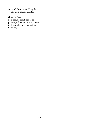# Arnaud Courlet de Vregille

Totally non-notable painter.

# Genetic Zoo

non-notable artist: series of paintings shown in one exhibition, in the artist's own studio, fails notability.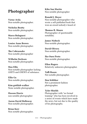# Photographer

Victor Avila Non-notable photographer.

Nicholas Beatty Non-notable photographer.

Marco Bolognesi Non-notable photographer.

Louise Anne Brown Non-notable photographer.

The Cobrasnake Non-notable photographer

Wilhelm Derksen Non-notable photographer.

Max Ellis Non-notable photographer lacking GHITS and GNEWS of substance.

Ellie Ga Non-notable photographer.

Kim gottlieb-walker None notable photographer.

Hasson Harris non notable photographer

Aaron David Holloway Non-notable photographer.

Brian Kerr Non notable photographer. Kike San Martín Non notable photographer

Ronald J. Meyer Non-notable photographer who wrote a self-published book that won an award nobody's heard of.

Thomas R. Moore Photographer of questionable notability.

James Nisbeck Non-notable photographer.

David Olivera Non-notable photographer.

Iko Ouro Preto Non-notable photographer.

Ellen Rogers Relatively unknown photographer.

Taffi Rosen Not notable photographer.

Den Schliker Not a prominent fashion photographer.

Tyler Shields Photographer with "no formal training" who has been involved in a series of events which have made the news, but not due to the quality of his photographs.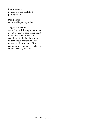#### Ewen Spencer

non notable self published photographer

#### Doug Tham

Non-notable photographer.

#### Angelo Valentino

A terribly hush-hush photographer, a "cult pioneer" whose "compelling" works "are often difficult to acredit due to the fact he works under various pseudonyms and is, even by the standard of his contemporary Banksy very elusive and deliberately obscure".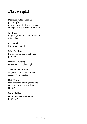# Playwright

#### Dominic Allen (British playwright)

playwright with little performed and apparently nothing published.

# Joy Basu

Playwright whose notability is not established.

# Max Bush

Minor playwright.

### John Carlino

Barely known playwright and politician.

Daniel McClung Unknown NYC playwright.

#### Tazewell Thompson

Apparntly non-notable theater director / playwright.

#### Kate Toon

Non-notable playwright lacking GHits of susbstance and zero GNEWS.

# James Wilkes

apparently unpublished as playwright.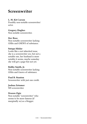# Screenwriter

### L. M. Kit Carson

Possibly non-notable screenwriter/ actor.

#### Gregory Hughes

Non notable screenwriter.

#### Dev Ross

Non-notable screenwriter lacking GHIts and GNEWS of substance.

#### Sutapa Sikdar

Looks like a not inherited issue, she is a screenwriter yes, but not a notable one, her husband is more notable it seems, maybe someday she will get a page-but not yet.

#### Bobby Smith, Jr.

Non-notable screenwriter lacking GHits and Gnews of substance.

#### Paul B. Stanton

Screenwriter with just one credit.

# Joshua Zetumer

NN screenwriter.

#### Drazen Zigic

Non-notable "screenwriter" who seems to be more famous (if marginally so) as a blogger.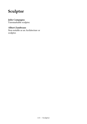# Sculptor

#### Julie Campagna

Unremarkable sculptor.

## Albert Zambrano

Non-notable as an Architecture or sculptor.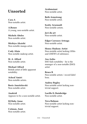# **Unsorted**

Cara A Non-notable artist.

A.Renee A young, non-notable artist.

Michele Abeles Non-notable artist.

Michiyo Akaishi Non-notable manga artist.

Cody Alain Non notable makeup artist.

M. A. Alford Non-notable artist.

Michael Alford British artist of little apparent notability.

Achraf Amiri Non-notable artists.

Boris Amstislavski Non-notable artist.

Anakrid Appears to be a non-notable artist.

DJ Baby Anne Non-notable artist.

Cotman, Anni Non-notable artist. Arahmaiani Non-notable artist.

Beth Armstrong Non-notable artist.

Scotty Arsenault Non-notable artists.

Javi du art Non-notable artist.

Edgar Carrasco Arteaga Non-notable artist.

Henry Hudson: Artist Non-notable artist lacking GHits and GNEWS of substance.

Asa Asika IMO fails notability - he is the manager of a non-notable (IMO) artist

Bruce B Non notable artists / record label boss.

Audrey Bagley Non-notable artist lacking nontrivial support.

Lucille D. Bainbridge Non-notable artist.

Tova Balman Non-notable artist lacking nontrivial support.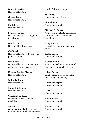Bimal Banerjee Non-notable artist.

George Bary Non-notable artist.

Math bass Non-notable artist.

Brandon Bauer Non-notable artist lacking nontrivial support.

Butch Bautista Non-notable tattoo artist.

Cat Beach Non-notable artist with only one published album

Mark Bern Non-notable artist who only just debuted a few years ago.

Kishore Pratim Biswas Non-notable artist.

Julien Le Blanc Non-notable artist.

James Blinkhorn Non-notable artist.

Christina Di Bona Unknown artist of dubious notability.

Jai Boo An underground artist current working on their first solo release, but that's just a mixtape.

Sly Boogy Non-notable musical artist.

Fiona bowie Non-notable artist.

Michael G. Breece Artist lacks notability, discography has only 2 entries of dubious notability.

Bridget Irish Seems to be a non-notable local artist.

Kadar Brock Non-notable artist.

Ramon Bruin Artist who had his 15 minutes of fame on the internet last year.

Adam Buenz Local stained glass artist with no indications of notability.

Gunther Burpus Non-notable artist.

C-tru Non-notable artist.

Kutt Calhoun Non-notable artist.

Renato Cataldi Non-notable artist.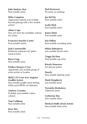Julia lindsey chot Non-notable artist.

Mike Compton Apparently entirely non-notable beyond playing with a few notable artists?

Abner Cope May not meet the notability criteria

for artists.

Francisco Sanchis Cortés Non-notable artists.

Josh Courtoreille Relatively unknown (87 ghits) musical artist.

Rosz Craig Non-notable artist.

Finders Keepers Crew Apparently non-notable group of street artists in London.

Skill U.T.I Crew (Los Angeles Graffiti Artist) Non-notable graffiti artist lacking GHits and GNEWs of substance.

Andrew Crossley Probably non-notable comics colorist.

Tom Cullberg Non-notable artist.

Jesse Dee Non-notable artist. Hail Destroyer No artist, no nothing.

Joe DeVito Non-notable artist.

Leslie Dick Non-notable artist.

James Dietz Non-notable artist.

Daz Dillon Non-notable recording artist.

Milan Dobrojevic non-notable fractal artist.

Trigga Da Don Non-notable rap artist.

Károly Doncsecz An obscure potter.

Doorly Non-notable dubstep artist.

Mark Dougherty non notable artist.

Veronika Drahotova Unknown artist.

Catherine Duc Non notable artist

Michael Duffy (Irish Artist) Non-notable Irish artist.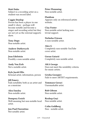#### Matt Duke

Subject is a recording artist on a student-run record label.

#### Caggie Dunlop

Person has been a player in one small tv show - perhaps will become notable and become a singer and recording artist but they are not yet as the external supports show.

Tony Dupe Non-notable artist.

Andrew Dutkewych Non-notable artist.

Jean Edelstein Possibly a non-notable artist.

Andy Von Eich Not a notable artist.

Kyle Jacob Ellis fictional artist, information, person

Jill Emery Fails notability both as an artist and as a musician

Alex Emsley Non-notable artist.

Dempsey Essick Well-meaning but non-notable local artist.

Jon Paul Fiorentino Not notable artist.

Peter Flemming Non-notable artist.

Fluidism

Appears only on referenced artists website.

Clay Foster Non-notable artist lacking nontrivial support.

Nicholas Friesen A non-notable artist.

Alex G Completely non-notable YouTube cover artist.

Goran Gatarić Completely non-notable artist.

AKA George Does not meet the notability criteria for music artists.

Grisha Georgiev Fails to meet ARTIST requirements.

Tommaso Geraci Unremarkable artist.

Rob Gibsun Non-notable artist.

Rexhep Goçi Non notable artist.

Colin Goldberg Non - notable artist.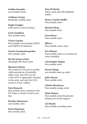Goldin+Senneby non-notable artists.

Anthony Gomes Borderline notable artist.

Steph Goodger Little known artist in France.

Leon Goodman Non notable artist.

Victor Gordon Non-notable artist lacking GHITS and GNEWS of substance.

Yannis Grammaticopoulos Non-notable artist.

Ha-Ha (street artist) Seemingly NN street artist.

#### Sherman Halsey

The awards he won aren't terribly valid assertations of notability either: GAC and CMT are fanvoted; MTV is apparently awarded to the artist; and only the ACM award is of any validity.

#### Fain Hancock

Non notable artist, mention in the NY Times is clearly trivial at one line.

Heather Hannoura non notable artist.

Sonia Hansman Non notable artist. Don Ed Hardy Tattoo artist and self-published author.

Henry Charles Heffer Non-notable artist.

Michael Hesp Non notable artist.

Gina Heyer Non-notable artist.

HiFyve Non-notable music artist.

Eric Himan Non-notable artist, no assertion of artist notability.

Christopher Hogan Non notable artist.

Susana Hong non notable make up artist.

Jodi J Horne Non-notable artist.

Chieko Hosokawa Non-notable manga artist.

Mark Humes Non-notable artist/broadcaster lacking non-trivial support.

Tai Hustle Non-notable recording artist.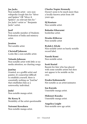# Joe Jacks

Non-notable artist - zero nonwikipedia Google hits for "Silver and Spiders" OR "Silver & Spiders"; no relevant hits for " Joe Jacks"+artist or " Benjamin Jacks"+artist.

#### Jasif

Non-notable member of Students Federation of India and mimicry artist.

# *<u>Iesuton</u>*

Not notable artist.

### Christoff Johnson

Looks like a non notable artist.

### Yolanda Johnson

Non-notable artist with little or no media attention, no charting songs.

# JonOne

Granted, as a graffiti artist and painter, it's somewhat difficult to establish yourself, there is essentially nothing on "JonOne" that establishes him as a noteworthy individual.

# Judal

Non-notable manga artist.

Mc Keezy K Notability of the artist questionable

Natsumi Kawahara Non-notable manga artist.

### Charles Napier Kennedy

Doesn't seem to be much more than a locally-known artist from 100 years ago.

# DJ Kentaro

Non notable artist.

# Bahador Kharazmi

borderline artist.

# Drasko Klikovac

Non-notable artist

# Rydah J. Klyde

Non-notable artist on barely notable record label.

#### Naoshi Komi Non-notable artist.

#### Scott Koziol

Bassist-for-hire who has played with some notable artists but does not appear to be notable on his own.

#### Eisaku Kubonouchi

Not notable as an artist/animator.

Iou Kuroda Unnotable manga artist.

Hidenori Kusaka Unnotable manga artist.

Angelica Leight Non-notable new age artist.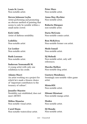Louis St. Lewis Non-notable artist.

Steven Johnson Leyba Artist performing and promoting an obscure method of painting that seems to only be notable within a small niche crowd.

Kirk Little Artist of dubious notability.

Lodekka Non-notable artist

Liz Looker Non-notable artist.

Ruth Lorenzo Non-notable artist.

Sudarsan Yennamalli M. A young artist with only one exhibition to his credit.

Adamo Macri An artist working on a project for which he's made a bizarre choice of "important contributors to the treasury of culture".

Jennifer Maestre Notability not established, does not meet ARTIST.

Miltos Manetas Non notable visual artist.

Carol Mann Non-notable watercolour artist. Peter Mars Non-notable artist.

Anna May-Rychter Non-notable artist.

Roberto Márquez non-notable artist.

Daria McGrain Non-notable comics artist.

Ron McKelvey Non-notable former con artist.

Medo Ismail Non-notable artist.

DJ Mehedi Non-notable artist, only selfreferences.

Marsha Mellow Non-notable drag artist.

Gustavo Mendonca Seemingly non-notable video game artist.

MisterMN Non-notable artist.

Hitomi Mizutani Non-notable manga artist.

Modeo Non-notable artist.

DJ Mondo Non-notable artist.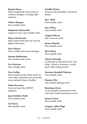#### Rajesh More

Minor fashionista who works as costume designer in Telugu film industry.

Tobias Morgan Non notable artist.

Stéphanie Morissette Appears to be a non notable artist.

Harry Moskowitz MMA artist with only two top tier fights both losses.

Dave Moyer Non-notable artist and technique.

Suman Mukherjee Not notable mime artist.

Eva Navarro Non-notable artist

#### Neo-Gothic

Non-notable group which seems to exist only to promote one artist (the twice-deleted Charles Moffat).

Dodo Newman Does not meet the ARTIST guidance.

Jean-Frédéric Noël Non notable artist.

TJ Norris Non-notable artist. Sandile Nzuza Seems to fail notability criteria for artists.

Rev. Nørb Non-notable artist.

Izzy O'Kay Non notable artist.

Angela Oberer NN voiceover artist.

Susan Olmetti Non-notable artist.

Skot Olsen Non-notable artist

Alvaro Orlando

Contestant is only known for "one thing", which is winning a reality show (The Pickup Artist).

Suzanne Kendall Osborne Non-notable artist.

Simone Otis non notable makeup artist.

Beacham Owen A non-notable motorsports artist who had a brief motorsports career.

Jessica Owen Non notable artist.

Gregory Allen Page Non-notable artist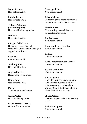James Parman Non notable artist.

Melvin Pather Non-notable artist.

Tiffany Patterson (choreographer) Non-notable choreographer.

50 Pence Non notable artist.

Morgan delle Piane Notability as an artist not established, nor is family enough to support significance.

Pilar Pili non-notable artist.

Anthony Pitt Non-notable artist.

Angelo Plessas Not notable visual artist.

Ron e Polo Non-notable artist.

Porno Totally non-notable artist.

Jason Porter Non-notable rap artist.

Frank Michael Preuss Not notable as an artist.

Giuseppe Prinzi Non-notable artist.

Privatelektro Unknown group of artists with no reputation or noticeable success.

Purple Pussy Closest thing to notability is a lawsuit from the artist.

Iza Radinsky Non-notable artist.

Kenneth Brown Ransley Non-notable artist.

Regilio Non-notable artists.

Rene "brewedsosweet" Reyes Non-notable artist.

Atarah Richmond Non-notable artist.

Adrian Rigby A wildflife artist whose reputation (and extreme hyperbole on his website) seems to be based on winning 3 awards at an exhibition of the Wildlife Art Society.

Shani Rigsbee Does not appear to be a noteworthy artist.

Anita Rodriguez Non-notable artist.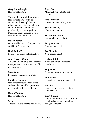Gary Rohrabaugh Non-notable artist.

#### Therese Steinhardt Rosenblatt

Non-notable artist with no documented accomplishments other than one 10-day exhibition at a non-notable gallery and a purchase by the Metropolitan Museum, which appears to have decommissioned the work.

#### Stacey Rozich

Non-notable artist lacking GHITS and GNEWS of substance.

Noel Rudloff Seems to be a non-notable artist.

#### Alan Russell-Cowan

An artist known only as he was the main person to be featured in a film of schizophrenia.

Joop Sanders Potentially non-notable artist.

#### Matthew Santoro

Non-notable visual effects artist and even less notable aspirational director of yet-to-be-made films.

Hasan Fuat Sari Non-notable artist.

Sash!

Artist doesn't appear to be notable.

Rigel Sauri Minor artist, notability not established.

Eric Schlittler Non-notable recording artist.

Jakob Senneby Non-notable artist.

Shanell (aka SnL) non notable musical artist

Suvigya Sharma Non notable artist.

Lee Shi-min Non-notable artist.

Ahlam Shibli Artist of very questionable notability.

Shipititez Seemingly non-notable artist.

Tom Sierak Seems to be a non-notable artist.

Dan Sites Sites is an artist who has done album covers.

Biggy Smallz Only info on the artist was from the usual webcrawling sites, allmusic and yahoo music.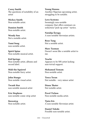Corey Smith The questions of notability of an artist

Mickey Smith Non-notable artist.

Damien Smith Non-notable artist.

Wendy Son Not a notable artist.

Yumi Song non-notable artist.

Spirit Spine Non-notable musical artist.

Kid Springs Non-notable artist, albums and record label.

Midi the Squirrel Non-notable furry artist.

John Stango Non notable visual artist.

Twank Star non notable musical artist

Eric Stephens non-notable comic strip artist

Stereotyp Non-notable artist. Young Stunna Another Nigerian upcoming artist, struggling to be notable.

Love Systems Seemingly non-notable company that offers seminars on seduction/"pick-up artist " tactics.

Natalija Šeruga A non-notable Slovenian artists.

Rose Tang Not a notable artist.

Marc Tasman Doesn't seem like a notable artist to me.

Teachr Appears to be NN artist lacking non-trivial support.

Mohamed Temam Non-notable artist.

Tosca Teran Not notable - very minor artist

Diana Thater Not notable artist.

Pavel Tichon Non-notable media artist.

Tjaša Iris A non-notable Slovenian artist.

Daniel Toledo Possible non-notable artist.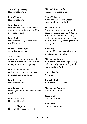Simon Toparovsky Non-notable artist.

Fabio Torres Non-notable artist

#### John Trujillo

Non-notable layout board artist (that's a pretty minor role in film post-production).

### Born Twice

Non-notable early release from a notable artist.

Dorico Alonzo Tyree Artist is non notable.

#### Ana Tzarev

non-notable artist, only assertion of notability is that she borrowed money to open an art gallery

#### Olav Harald Ulstein

Only of local interest, both as a politician and as an artist.

Danilo Ursini Non-notable artist.

Anette Vedvik Norwegian artist appears to be nonnotable.

Gerrit Verstraete Non-notable artist.

Sylvia Villagran Non-notable voiceover artist. Michael Vincent-Rori non-notable living artist

Elena Volkova Artist which does not appear to meet notability standards.

#### Shawn Vulliez

Flash artist with no real notability of his own aside from the Ultimate Showdown of Ultimate Destiny flash, no notable google hits aside from an extremely fleeting mention on wsj.com.

#### Waconzy

Another Nigerian upcoming artist, struggling to be notable.

#### Michael Weismore

Non-notable artist who apparently only currently has notability in the Syracuse, New York area.

Aaron Wexler NN artist

Joy Whitlock Non-notable CCM artist.

#### Michael W. Wooten Non-notable artist.

Jerry Wray Unnotable artist.

Alii wright Non notable artist.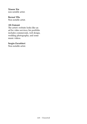Xiaoze Xie non notable artist.

# Bernat Ylla

Non notable artist.

# Ali Zamani

The artist's website looks like an ad for video services; his portfolio includes commercials, web design, wedding photography, and some music videos.

# Sergio Zavattieri

Non-notable artist.